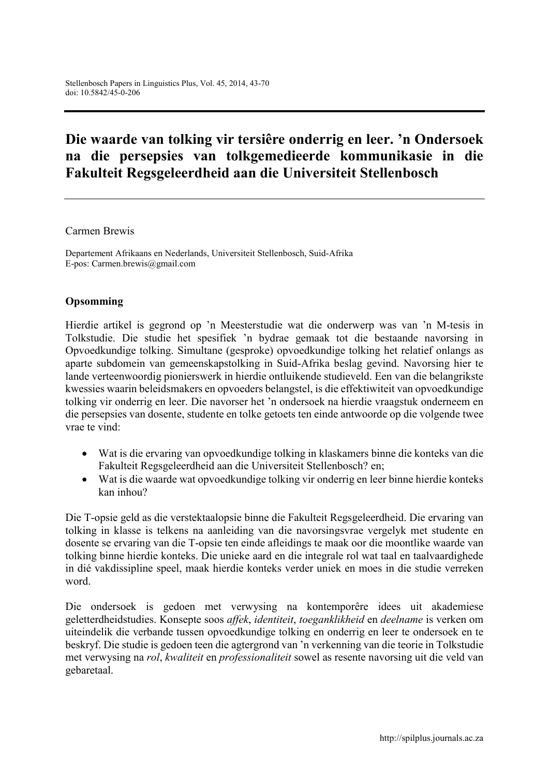# **Die waarde van tolking vir tersiêre onderrig en leer. 'n Ondersoek na die persepsies van tolkgemedieerde kommunikasie in die Fakulteit Regsgeleerdheid aan die Universiteit Stellenbosch**

#### Carmen Brewis

Departement Afrikaans en Nederlands, Universiteit Stellenbosch, Suid-Afrika E-pos: Carmen.brewis@gmail.com

#### **Opsomming**

Hierdie artikel is gegrond op 'n Meesterstudie wat die onderwerp was van 'n M-tesis in Tolkstudie. Die studie het spesifiek 'n bydrae gemaak tot die bestaande navorsing in Opvoedkundige tolking. Simultane (gesproke) opvoedkundige tolking het relatief onlangs as aparte subdomein van gemeenskapstolking in Suid-Afrika beslag gevind. Navorsing hier te lande verteenwoordig pionierswerk in hierdie ontluikende studieveld. Een van die belangrikste kwessies waarin beleidsmakers en opvoeders belangstel, is die effektiwiteit van opvoedkundige tolking vir onderrig en leer. Die navorser het 'n ondersoek na hierdie vraagstuk onderneem en die persepsies van dosente, studente en tolke getoets ten einde antwoorde op die volgende twee vrae te vind:

- Wat is die ervaring van opvoedkundige tolking in klaskamers binne die konteks van die Fakulteit Regsgeleerdheid aan die Universiteit Stellenbosch? en;
- Wat is die waarde wat opvoedkundige tolking vir onderrig en leer binne hierdie konteks kan inhou?

Die T-opsie geld as die verstektaalopsie binne die Fakulteit Regsgeleerdheid. Die ervaring van tolking in klasse is telkens na aanleiding van die navorsingsvrae vergelyk met studente en dosente se ervaring van die T-opsie ten einde afleidings te maak oor die moontlike waarde van tolking binne hierdie konteks. Die unieke aard en die integrale rol wat taal en taalvaardighede in dié vakdissipline speel, maak hierdie konteks verder uniek en moes in die studie verreken word.

Die ondersoek is gedoen met verwysing na kontemporêre idees uit akademiese geletterdheidstudies. Konsepte soos *affek*, *identiteit*, *toeganklikheid* en *deelname* is verken om uiteindelik die verbande tussen opvoedkundige tolking en onderrig en leer te ondersoek en te beskryf. Die studie is gedoen teen die agtergrond van 'n verkenning van die teorie in Tolkstudie met verwysing na *rol*, *kwaliteit* en *professionaliteit* sowel as resente navorsing uit die veld van gebaretaal.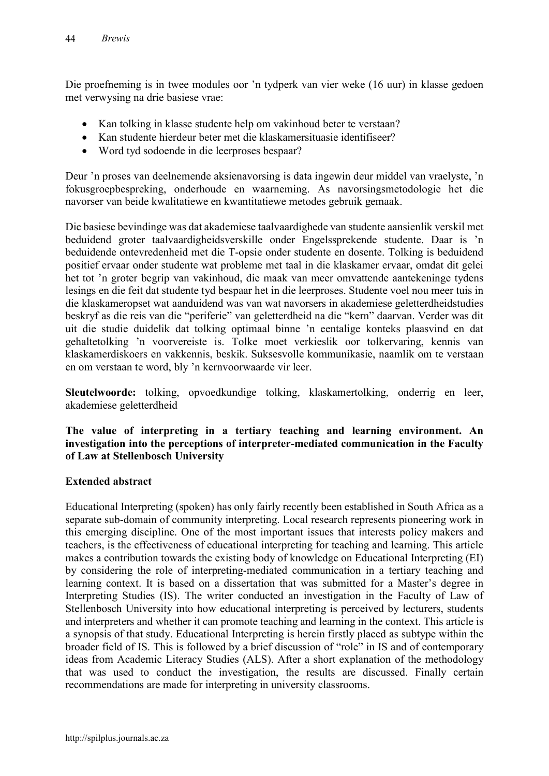Die proefneming is in twee modules oor 'n tydperk van vier weke (16 uur) in klasse gedoen met verwysing na drie basiese vrae:

- Kan tolking in klasse studente help om vakinhoud beter te verstaan?
- Kan studente hierdeur beter met die klaskamersituasie identifiseer?
- Word tyd sodoende in die leerproses bespaar?

Deur 'n proses van deelnemende aksienavorsing is data ingewin deur middel van vraelyste, 'n fokusgroepbespreking, onderhoude en waarneming. As navorsingsmetodologie het die navorser van beide kwalitatiewe en kwantitatiewe metodes gebruik gemaak.

Die basiese bevindinge was dat akademiese taalvaardighede van studente aansienlik verskil met beduidend groter taalvaardigheidsverskille onder Engelssprekende studente. Daar is 'n beduidende ontevredenheid met die T-opsie onder studente en dosente. Tolking is beduidend positief ervaar onder studente wat probleme met taal in die klaskamer ervaar, omdat dit gelei het tot 'n groter begrip van vakinhoud, die maak van meer omvattende aantekeninge tydens lesings en die feit dat studente tyd bespaar het in die leerproses. Studente voel nou meer tuis in die klaskameropset wat aanduidend was van wat navorsers in akademiese geletterdheidstudies beskryf as die reis van die "periferie" van geletterdheid na die "kern" daarvan. Verder was dit uit die studie duidelik dat tolking optimaal binne 'n eentalige konteks plaasvind en dat gehaltetolking 'n voorvereiste is. Tolke moet verkieslik oor tolkervaring, kennis van klaskamerdiskoers en vakkennis, beskik. Suksesvolle kommunikasie, naamlik om te verstaan en om verstaan te word, bly 'n kernvoorwaarde vir leer.

**Sleutelwoorde:** tolking, opvoedkundige tolking, klaskamertolking, onderrig en leer, akademiese geletterdheid

#### **The value of interpreting in a tertiary teaching and learning environment. An investigation into the perceptions of interpreter-mediated communication in the Faculty of Law at Stellenbosch University**

# **Extended abstract**

Educational Interpreting (spoken) has only fairly recently been established in South Africa as a separate sub-domain of community interpreting. Local research represents pioneering work in this emerging discipline. One of the most important issues that interests policy makers and teachers, is the effectiveness of educational interpreting for teaching and learning. This article makes a contribution towards the existing body of knowledge on Educational Interpreting (EI) by considering the role of interpreting-mediated communication in a tertiary teaching and learning context. It is based on a dissertation that was submitted for a Master's degree in Interpreting Studies (IS). The writer conducted an investigation in the Faculty of Law of Stellenbosch University into how educational interpreting is perceived by lecturers, students and interpreters and whether it can promote teaching and learning in the context. This article is a synopsis of that study. Educational Interpreting is herein firstly placed as subtype within the broader field of IS. This is followed by a brief discussion of "role" in IS and of contemporary ideas from Academic Literacy Studies (ALS). After a short explanation of the methodology that was used to conduct the investigation, the results are discussed. Finally certain recommendations are made for interpreting in university classrooms.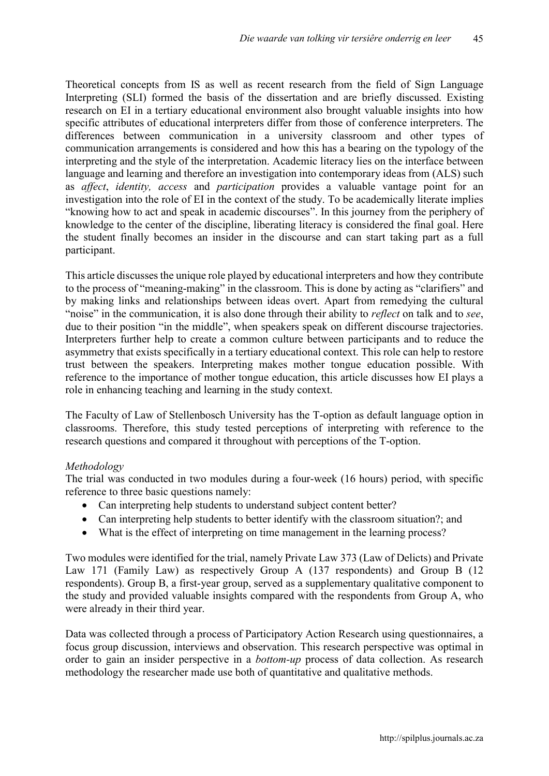Theoretical concepts from IS as well as recent research from the field of Sign Language Interpreting (SLI) formed the basis of the dissertation and are briefly discussed. Existing research on EI in a tertiary educational environment also brought valuable insights into how specific attributes of educational interpreters differ from those of conference interpreters. The differences between communication in a university classroom and other types of communication arrangements is considered and how this has a bearing on the typology of the interpreting and the style of the interpretation. Academic literacy lies on the interface between language and learning and therefore an investigation into contemporary ideas from (ALS) such as *affect*, *identity, access* and *participation* provides a valuable vantage point for an investigation into the role of EI in the context of the study. To be academically literate implies "knowing how to act and speak in academic discourses". In this journey from the periphery of knowledge to the center of the discipline, liberating literacy is considered the final goal. Here the student finally becomes an insider in the discourse and can start taking part as a full participant.

This article discusses the unique role played by educational interpreters and how they contribute to the process of "meaning-making" in the classroom. This is done by acting as "clarifiers" and by making links and relationships between ideas overt. Apart from remedying the cultural "noise" in the communication, it is also done through their ability to *reflect* on talk and to *see*, due to their position "in the middle", when speakers speak on different discourse trajectories. Interpreters further help to create a common culture between participants and to reduce the asymmetry that exists specifically in a tertiary educational context. This role can help to restore trust between the speakers. Interpreting makes mother tongue education possible. With reference to the importance of mother tongue education, this article discusses how EI plays a role in enhancing teaching and learning in the study context.

The Faculty of Law of Stellenbosch University has the T-option as default language option in classrooms. Therefore, this study tested perceptions of interpreting with reference to the research questions and compared it throughout with perceptions of the T-option.

# *Methodology*

The trial was conducted in two modules during a four-week (16 hours) period, with specific reference to three basic questions namely:

- Can interpreting help students to understand subject content better?
- Can interpreting help students to better identify with the classroom situation?; and
- What is the effect of interpreting on time management in the learning process?

Two modules were identified for the trial, namely Private Law 373 (Law of Delicts) and Private Law 171 (Family Law) as respectively Group A (137 respondents) and Group B (12 respondents). Group B, a first-year group, served as a supplementary qualitative component to the study and provided valuable insights compared with the respondents from Group A, who were already in their third year.

Data was collected through a process of Participatory Action Research using questionnaires, a focus group discussion, interviews and observation. This research perspective was optimal in order to gain an insider perspective in a *bottom-up* process of data collection. As research methodology the researcher made use both of quantitative and qualitative methods.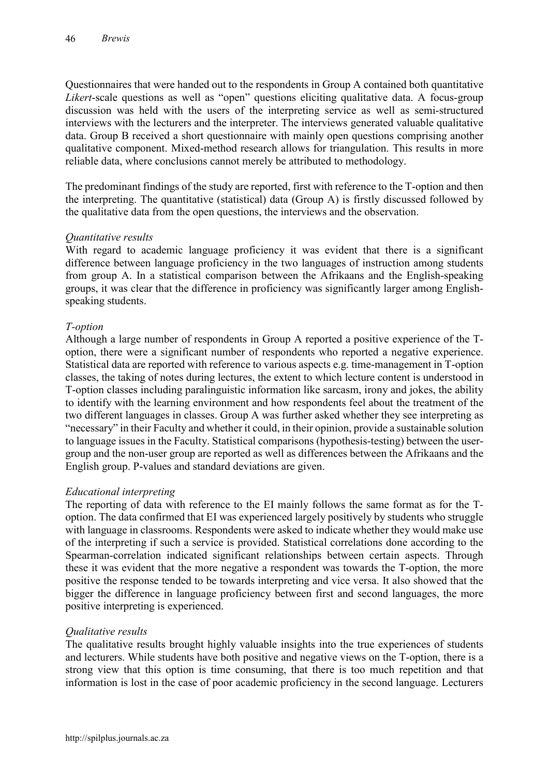Questionnaires that were handed out to the respondents in Group A contained both quantitative *Likert*-scale questions as well as "open" questions eliciting qualitative data. A focus-group discussion was held with the users of the interpreting service as well as semi-structured interviews with the lecturers and the interpreter. The interviews generated valuable qualitative data. Group B received a short questionnaire with mainly open questions comprising another qualitative component. Mixed-method research allows for triangulation. This results in more reliable data, where conclusions cannot merely be attributed to methodology.

The predominant findings of the study are reported, first with reference to the T-option and then the interpreting. The quantitative (statistical) data (Group A) is firstly discussed followed by the qualitative data from the open questions, the interviews and the observation.

#### *Quantitative results*

With regard to academic language proficiency it was evident that there is a significant difference between language proficiency in the two languages of instruction among students from group A. In a statistical comparison between the Afrikaans and the English-speaking groups, it was clear that the difference in proficiency was significantly larger among Englishspeaking students.

# *T-option*

Although a large number of respondents in Group A reported a positive experience of the Toption, there were a significant number of respondents who reported a negative experience. Statistical data are reported with reference to various aspects e.g. time-management in T-option classes, the taking of notes during lectures, the extent to which lecture content is understood in T-option classes including paralinguistic information like sarcasm, irony and jokes, the ability to identify with the learning environment and how respondents feel about the treatment of the two different languages in classes. Group A was further asked whether they see interpreting as "necessary" in their Faculty and whether it could, in their opinion, provide a sustainable solution to language issues in the Faculty. Statistical comparisons (hypothesis-testing) between the usergroup and the non-user group are reported as well as differences between the Afrikaans and the English group. P-values and standard deviations are given.

#### *Educational interpreting*

The reporting of data with reference to the EI mainly follows the same format as for the Toption. The data confirmed that EI was experienced largely positively by students who struggle with language in classrooms. Respondents were asked to indicate whether they would make use of the interpreting if such a service is provided. Statistical correlations done according to the Spearman-correlation indicated significant relationships between certain aspects. Through these it was evident that the more negative a respondent was towards the T-option, the more positive the response tended to be towards interpreting and vice versa. It also showed that the bigger the difference in language proficiency between first and second languages, the more positive interpreting is experienced.

#### *Qualitative results*

The qualitative results brought highly valuable insights into the true experiences of students and lecturers. While students have both positive and negative views on the T-option, there is a strong view that this option is time consuming, that there is too much repetition and that information is lost in the case of poor academic proficiency in the second language. Lecturers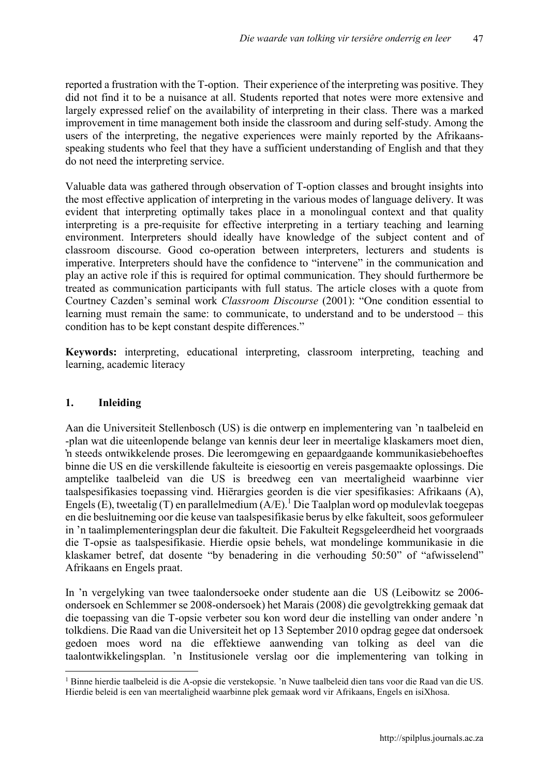reported a frustration with the T-option. Their experience of the interpreting was positive. They did not find it to be a nuisance at all. Students reported that notes were more extensive and largely expressed relief on the availability of interpreting in their class. There was a marked improvement in time management both inside the classroom and during self-study. Among the users of the interpreting, the negative experiences were mainly reported by the Afrikaansspeaking students who feel that they have a sufficient understanding of English and that they do not need the interpreting service.

Valuable data was gathered through observation of T-option classes and brought insights into the most effective application of interpreting in the various modes of language delivery. It was evident that interpreting optimally takes place in a monolingual context and that quality interpreting is a pre-requisite for effective interpreting in a tertiary teaching and learning environment. Interpreters should ideally have knowledge of the subject content and of classroom discourse. Good co-operation between interpreters, lecturers and students is imperative. Interpreters should have the confidence to "intervene" in the communication and play an active role if this is required for optimal communication. They should furthermore be treated as communication participants with full status. The article closes with a quote from Courtney Cazden's seminal work *Classroom Discourse* (2001): "One condition essential to learning must remain the same: to communicate, to understand and to be understood – this condition has to be kept constant despite differences."

**Keywords:** interpreting, educational interpreting, classroom interpreting, teaching and learning, academic literacy

# **1. Inleiding**

Aan die Universiteit Stellenbosch (US) is die ontwerp en implementering van 'n taalbeleid en -plan wat die uiteenlopende belange van kennis deur leer in meertalige klaskamers moet dien, 'n steeds ontwikkelende proses. Die leeromgewing en gepaardgaande kommunikasiebehoeftes binne die US en die verskillende fakulteite is eiesoortig en vereis pasgemaakte oplossings. Die amptelike taalbeleid van die US is breedweg een van meertaligheid waarbinne vier taalspesifikasies toepassing vind. Hiërargies georden is die vier spesifikasies: Afrikaans (A), Engels (E), tweetalig (T) en parallelmedium  $(A/E)$ .<sup>1</sup> Die Taalplan word op modulevlak toegepas en die besluitneming oor die keuse van taalspesifikasie berus by elke fakulteit, soos geformuleer in 'n taalimplementeringsplan deur die fakulteit. Die Fakulteit Regsgeleerdheid het voorgraads die T-opsie as taalspesifikasie. Hierdie opsie behels, wat mondelinge kommunikasie in die klaskamer betref, dat dosente "by benadering in die verhouding 50:50" of "afwisselend" Afrikaans en Engels praat.

In 'n vergelyking van twee taalondersoeke onder studente aan die US (Leibowitz se 2006 ondersoek en Schlemmer se 2008-ondersoek) het Marais (2008) die gevolgtrekking gemaak dat die toepassing van die T-opsie verbeter sou kon word deur die instelling van onder andere 'n tolkdiens. Die Raad van die Universiteit het op 13 September 2010 opdrag gegee dat ondersoek gedoen moes word na die effektiewe aanwending van tolking as deel van die taalontwikkelingsplan. 'n Institusionele verslag oor die implementering van tolking in

 <sup>1</sup> Binne hierdie taalbeleid is die A-opsie die verstekopsie. 'n Nuwe taalbeleid dien tans voor die Raad van die US. Hierdie beleid is een van meertaligheid waarbinne plek gemaak word vir Afrikaans, Engels en isiXhosa.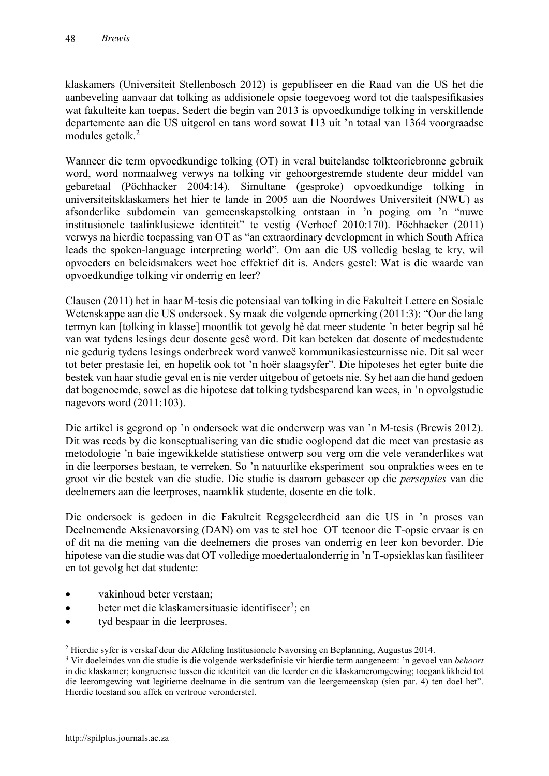klaskamers (Universiteit Stellenbosch 2012) is gepubliseer en die Raad van die US het die aanbeveling aanvaar dat tolking as addisionele opsie toegevoeg word tot die taalspesifikasies wat fakulteite kan toepas. Sedert die begin van 2013 is opvoedkundige tolking in verskillende departemente aan die US uitgerol en tans word sowat 113 uit 'n totaal van 1364 voorgraadse modules getolk.<sup>2</sup>

Wanneer die term opvoedkundige tolking (OT) in veral buitelandse tolkteoriebronne gebruik word, word normaalweg verwys na tolking vir gehoorgestremde studente deur middel van gebaretaal (Pöchhacker 2004:14). Simultane (gesproke) opvoedkundige tolking in universiteitsklaskamers het hier te lande in 2005 aan die Noordwes Universiteit (NWU) as afsonderlike subdomein van gemeenskapstolking ontstaan in 'n poging om 'n "nuwe institusionele taalinklusiewe identiteit" te vestig (Verhoef 2010:170). Pöchhacker (2011) verwys na hierdie toepassing van OT as "an extraordinary development in which South Africa leads the spoken-language interpreting world". Om aan die US volledig beslag te kry, wil opvoeders en beleidsmakers weet hoe effektief dit is. Anders gestel: Wat is die waarde van opvoedkundige tolking vir onderrig en leer?

Clausen (2011) het in haar M-tesis die potensiaal van tolking in die Fakulteit Lettere en Sosiale Wetenskappe aan die US ondersoek. Sy maak die volgende opmerking (2011:3): "Oor die lang termyn kan [tolking in klasse] moontlik tot gevolg hê dat meer studente 'n beter begrip sal hê van wat tydens lesings deur dosente gesê word. Dit kan beteken dat dosente of medestudente nie gedurig tydens lesings onderbreek word vanweë kommunikasiesteurnisse nie. Dit sal weer tot beter prestasie lei, en hopelik ook tot 'n hoër slaagsyfer". Die hipoteses het egter buite die bestek van haar studie geval en is nie verder uitgebou of getoets nie. Sy het aan die hand gedoen dat bogenoemde, sowel as die hipotese dat tolking tydsbesparend kan wees, in 'n opvolgstudie nagevors word (2011:103).

Die artikel is gegrond op 'n ondersoek wat die onderwerp was van 'n M-tesis (Brewis 2012). Dit was reeds by die konseptualisering van die studie ooglopend dat die meet van prestasie as metodologie 'n baie ingewikkelde statistiese ontwerp sou verg om die vele veranderlikes wat in die leerporses bestaan, te verreken. So 'n natuurlike eksperiment sou onprakties wees en te groot vir die bestek van die studie. Die studie is daarom gebaseer op die *persepsies* van die deelnemers aan die leerproses, naamklik studente, dosente en die tolk.

Die ondersoek is gedoen in die Fakulteit Regsgeleerdheid aan die US in 'n proses van Deelnemende Aksienavorsing (DAN) om vas te stel hoe OT teenoor die T-opsie ervaar is en of dit na die mening van die deelnemers die proses van onderrig en leer kon bevorder. Die hipotese van die studie was dat OT volledige moedertaalonderrig in 'n T-opsieklas kan fasiliteer en tot gevolg het dat studente:

- vakinhoud beter verstaan;
- $\bullet$  beter met die klaskamersituasie identifiseer<sup>3</sup>; en
- tyd bespaar in die leerproses.

 <sup>2</sup> Hierdie syfer is verskaf deur die Afdeling Institusionele Navorsing en Beplanning, Augustus 2014.

<sup>3</sup> Vir doeleindes van die studie is die volgende werksdefinisie vir hierdie term aangeneem: 'n gevoel van *behoort* in die klaskamer; kongruensie tussen die identiteit van die leerder en die klaskameromgewing; toeganklikheid tot die leeromgewing wat legitieme deelname in die sentrum van die leergemeenskap (sien par. 4) ten doel het". Hierdie toestand sou affek en vertroue veronderstel.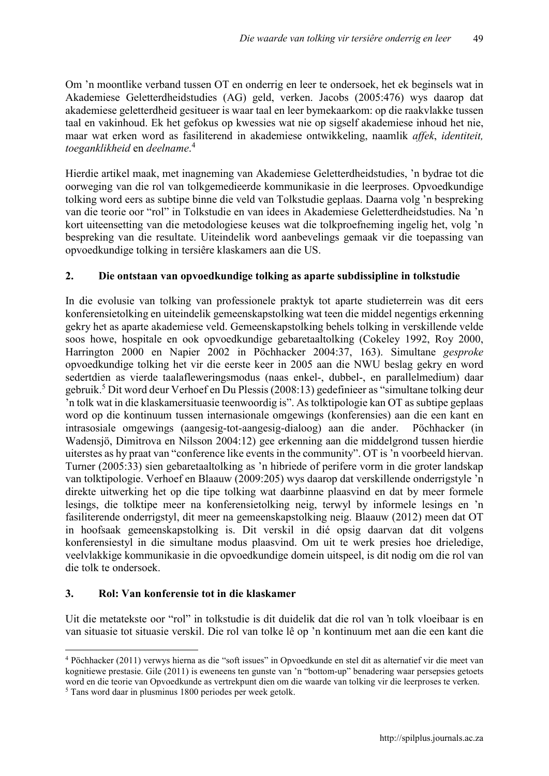Om 'n moontlike verband tussen OT en onderrig en leer te ondersoek, het ek beginsels wat in Akademiese Geletterdheidstudies (AG) geld, verken. Jacobs (2005:476) wys daarop dat akademiese geletterdheid gesitueer is waar taal en leer bymekaarkom: op die raakvlakke tussen taal en vakinhoud. Ek het gefokus op kwessies wat nie op sigself akademiese inhoud het nie, maar wat erken word as fasiliterend in akademiese ontwikkeling, naamlik *affek*, *identiteit, toeganklikheid* en *deelname*. 4

Hierdie artikel maak, met inagneming van Akademiese Geletterdheidstudies, 'n bydrae tot die oorweging van die rol van tolkgemedieerde kommunikasie in die leerproses. Opvoedkundige tolking word eers as subtipe binne die veld van Tolkstudie geplaas. Daarna volg 'n bespreking van die teorie oor "rol" in Tolkstudie en van idees in Akademiese Geletterdheidstudies. Na 'n kort uiteensetting van die metodologiese keuses wat die tolkproefneming ingelig het, volg 'n bespreking van die resultate. Uiteindelik word aanbevelings gemaak vir die toepassing van opvoedkundige tolking in tersiêre klaskamers aan die US.

# **2. Die ontstaan van opvoedkundige tolking as aparte subdissipline in tolkstudie**

In die evolusie van tolking van professionele praktyk tot aparte studieterrein was dit eers konferensietolking en uiteindelik gemeenskapstolking wat teen die middel negentigs erkenning gekry het as aparte akademiese veld. Gemeenskapstolking behels tolking in verskillende velde soos howe, hospitale en ook opvoedkundige gebaretaaltolking (Cokeley 1992, Roy 2000, Harrington 2000 en Napier 2002 in Pöchhacker 2004:37, 163). Simultane *gesproke* opvoedkundige tolking het vir die eerste keer in 2005 aan die NWU beslag gekry en word sedertdien as vierde taalafleweringsmodus (naas enkel-, dubbel-, en parallelmedium) daar gebruik.5 Dit word deur Verhoef en Du Plessis (2008:13) gedefinieer as "simultane tolking deur 'n tolk wat in die klaskamersituasie teenwoordig is". As tolktipologie kan OT as subtipe geplaas word op die kontinuum tussen internasionale omgewings (konferensies) aan die een kant en intrasosiale omgewings (aangesig-tot-aangesig-dialoog) aan die ander. Pöchhacker (in Wadensjö, Dimitrova en Nilsson 2004:12) gee erkenning aan die middelgrond tussen hierdie uiterstes as hy praat van "conference like events in the community". OT is 'n voorbeeld hiervan. Turner (2005:33) sien gebaretaaltolking as 'n hibriede of perifere vorm in die groter landskap van tolktipologie. Verhoef en Blaauw (2009:205) wys daarop dat verskillende onderrigstyle 'n direkte uitwerking het op die tipe tolking wat daarbinne plaasvind en dat by meer formele lesings, die tolktipe meer na konferensietolking neig, terwyl by informele lesings en 'n fasiliterende onderrigstyl, dit meer na gemeenskapstolking neig. Blaauw (2012) meen dat OT in hoofsaak gemeenskapstolking is. Dit verskil in dié opsig daarvan dat dit volgens konferensiestyl in die simultane modus plaasvind. Om uit te werk presies hoe drieledige, veelvlakkige kommunikasie in die opvoedkundige domein uitspeel, is dit nodig om die rol van die tolk te ondersoek.

# **3. Rol: Van konferensie tot in die klaskamer**

Uit die metatekste oor "rol" in tolkstudie is dit duidelik dat die rol van 'n tolk vloeibaar is en van situasie tot situasie verskil. Die rol van tolke lê op 'n kontinuum met aan die een kant die

 <sup>4</sup> Pöchhacker (2011) verwys hierna as die "soft issues" in Opvoedkunde en stel dit as alternatief vir die meet van kognitiewe prestasie. Gile (2011) is eweneens ten gunste van 'n "bottom-up" benadering waar persepsies getoets word en die teorie van Opvoedkunde as vertrekpunt dien om die waarde van tolking vir die leerproses te verken.

<sup>5</sup> Tans word daar in plusminus 1800 periodes per week getolk.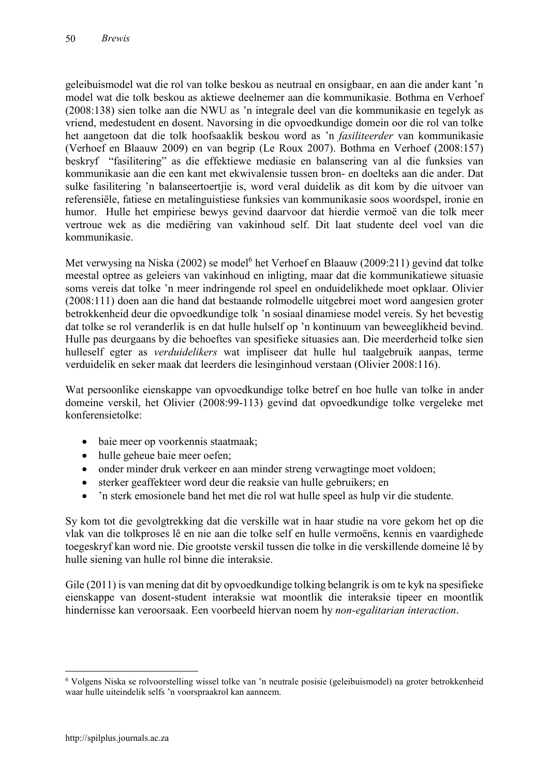geleibuismodel wat die rol van tolke beskou as neutraal en onsigbaar, en aan die ander kant 'n model wat die tolk beskou as aktiewe deelnemer aan die kommunikasie. Bothma en Verhoef (2008:138) sien tolke aan die NWU as 'n integrale deel van die kommunikasie en tegelyk as vriend, medestudent en dosent. Navorsing in die opvoedkundige domein oor die rol van tolke het aangetoon dat die tolk hoofsaaklik beskou word as 'n *fasiliteerder* van kommunikasie (Verhoef en Blaauw 2009) en van begrip (Le Roux 2007). Bothma en Verhoef (2008:157) beskryf "fasilitering" as die effektiewe mediasie en balansering van al die funksies van kommunikasie aan die een kant met ekwivalensie tussen bron- en doelteks aan die ander. Dat sulke fasilitering 'n balanseertoertjie is, word veral duidelik as dit kom by die uitvoer van referensiële, fatiese en metalinguistiese funksies van kommunikasie soos woordspel, ironie en humor. Hulle het empiriese bewys gevind daarvoor dat hierdie vermoë van die tolk meer vertroue wek as die mediëring van vakinhoud self. Dit laat studente deel voel van die kommunikasie.

Met verwysing na Niska (2002) se model<sup>6</sup> het Verhoef en Blaauw (2009:211) gevind dat tolke meestal optree as geleiers van vakinhoud en inligting, maar dat die kommunikatiewe situasie soms vereis dat tolke 'n meer indringende rol speel en onduidelikhede moet opklaar. Olivier (2008:111) doen aan die hand dat bestaande rolmodelle uitgebrei moet word aangesien groter betrokkenheid deur die opvoedkundige tolk 'n sosiaal dinamiese model vereis. Sy het bevestig dat tolke se rol veranderlik is en dat hulle hulself op 'n kontinuum van beweeglikheid bevind. Hulle pas deurgaans by die behoeftes van spesifieke situasies aan. Die meerderheid tolke sien hulleself egter as *verduidelikers* wat impliseer dat hulle hul taalgebruik aanpas, terme verduidelik en seker maak dat leerders die lesinginhoud verstaan (Olivier 2008:116).

Wat persoonlike eienskappe van opvoedkundige tolke betref en hoe hulle van tolke in ander domeine verskil, het Olivier (2008:99-113) gevind dat opvoedkundige tolke vergeleke met konferensietolke:

- baie meer op voorkennis staatmaak;
- hulle geheue baie meer oefen;
- onder minder druk verkeer en aan minder streng verwagtinge moet voldoen;
- sterker geaffekteer word deur die reaksie van hulle gebruikers; en
- 'n sterk emosionele band het met die rol wat hulle speel as hulp vir die studente.

Sy kom tot die gevolgtrekking dat die verskille wat in haar studie na vore gekom het op die vlak van die tolkproses lê en nie aan die tolke self en hulle vermoëns, kennis en vaardighede toegeskryf kan word nie. Die grootste verskil tussen die tolke in die verskillende domeine lê by hulle siening van hulle rol binne die interaksie.

Gile (2011) is van mening dat dit by opvoedkundige tolking belangrik is om te kyk na spesifieke eienskappe van dosent-student interaksie wat moontlik die interaksie tipeer en moontlik hindernisse kan veroorsaak. Een voorbeeld hiervan noem hy *non-egalitarian interaction*.

 <sup>6</sup> Volgens Niska se rolvoorstelling wissel tolke van 'n neutrale posisie (geleibuismodel) na groter betrokkenheid waar hulle uiteindelik selfs 'n voorspraakrol kan aanneem.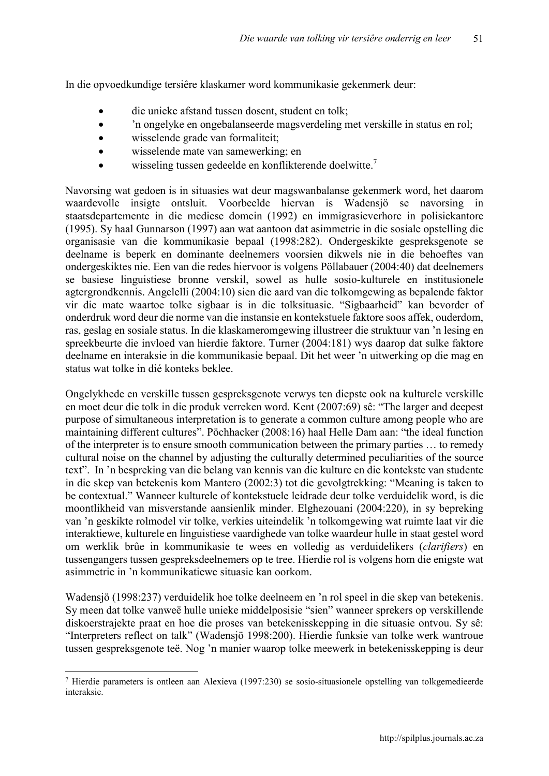In die opvoedkundige tersiêre klaskamer word kommunikasie gekenmerk deur:

- die unieke afstand tussen dosent, student en tolk;
- 'n ongelyke en ongebalanseerde magsverdeling met verskille in status en rol;
- wisselende grade van formaliteit;
- wisselende mate van samewerking; en
- wisseling tussen gedeelde en konflikterende doelwitte.<sup>7</sup>

Navorsing wat gedoen is in situasies wat deur magswanbalanse gekenmerk word, het daarom waardevolle insigte ontsluit. Voorbeelde hiervan is Wadensjö se navorsing in staatsdepartemente in die mediese domein (1992) en immigrasieverhore in polisiekantore (1995). Sy haal Gunnarson (1997) aan wat aantoon dat asimmetrie in die sosiale opstelling die organisasie van die kommunikasie bepaal (1998:282). Ondergeskikte gespreksgenote se deelname is beperk en dominante deelnemers voorsien dikwels nie in die behoeftes van ondergeskiktes nie. Een van die redes hiervoor is volgens Pöllabauer (2004:40) dat deelnemers se basiese linguistiese bronne verskil, sowel as hulle sosio-kulturele en institusionele agtergrondkennis. Angelelli (2004:10) sien die aard van die tolkomgewing as bepalende faktor vir die mate waartoe tolke sigbaar is in die tolksituasie. "Sigbaarheid" kan bevorder of onderdruk word deur die norme van die instansie en kontekstuele faktore soos affek, ouderdom, ras, geslag en sosiale status. In die klaskameromgewing illustreer die struktuur van 'n lesing en spreekbeurte die invloed van hierdie faktore. Turner (2004:181) wys daarop dat sulke faktore deelname en interaksie in die kommunikasie bepaal. Dit het weer 'n uitwerking op die mag en status wat tolke in dié konteks beklee.

Ongelykhede en verskille tussen gespreksgenote verwys ten diepste ook na kulturele verskille en moet deur die tolk in die produk verreken word. Kent (2007:69) sê: "The larger and deepest purpose of simultaneous interpretation is to generate a common culture among people who are maintaining different cultures". Pöchhacker (2008:16) haal Helle Dam aan: "the ideal function of the interpreter is to ensure smooth communication between the primary parties … to remedy cultural noise on the channel by adjusting the culturally determined peculiarities of the source text". In 'n bespreking van die belang van kennis van die kulture en die kontekste van studente in die skep van betekenis kom Mantero (2002:3) tot die gevolgtrekking: "Meaning is taken to be contextual." Wanneer kulturele of kontekstuele leidrade deur tolke verduidelik word, is die moontlikheid van misverstande aansienlik minder. Elghezouani (2004:220), in sy bepreking van 'n geskikte rolmodel vir tolke, verkies uiteindelik 'n tolkomgewing wat ruimte laat vir die interaktiewe, kulturele en linguistiese vaardighede van tolke waardeur hulle in staat gestel word om werklik brûe in kommunikasie te wees en volledig as verduidelikers (*clarifiers*) en tussengangers tussen gespreksdeelnemers op te tree. Hierdie rol is volgens hom die enigste wat asimmetrie in 'n kommunikatiewe situasie kan oorkom.

Wadensjö (1998:237) verduidelik hoe tolke deelneem en 'n rol speel in die skep van betekenis. Sy meen dat tolke vanweë hulle unieke middelposisie "sien" wanneer sprekers op verskillende diskoerstrajekte praat en hoe die proses van betekenisskepping in die situasie ontvou. Sy sê: "Interpreters reflect on talk" (Wadensjö 1998:200). Hierdie funksie van tolke werk wantroue tussen gespreksgenote teë. Nog 'n manier waarop tolke meewerk in betekenisskepping is deur

 <sup>7</sup> Hierdie parameters is ontleen aan Alexieva (1997:230) se sosio-situasionele opstelling van tolkgemedieerde interaksie.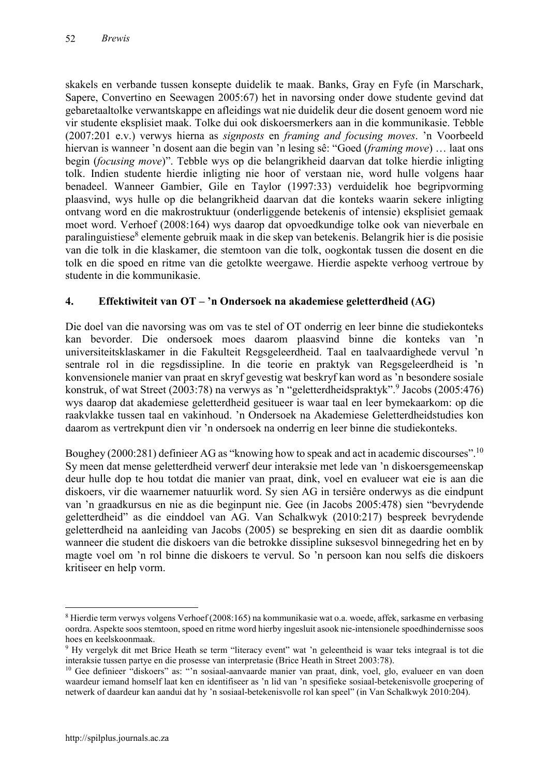skakels en verbande tussen konsepte duidelik te maak. Banks, Gray en Fyfe (in Marschark, Sapere, Convertino en Seewagen 2005:67) het in navorsing onder dowe studente gevind dat gebaretaaltolke verwantskappe en afleidings wat nie duidelik deur die dosent genoem word nie vir studente eksplisiet maak. Tolke dui ook diskoersmerkers aan in die kommunikasie. Tebble (2007:201 e.v.) verwys hierna as *signposts* en *framing and focusing moves*. 'n Voorbeeld hiervan is wanneer 'n dosent aan die begin van 'n lesing sê: "Goed (*framing move*) … laat ons begin (*focusing move*)". Tebble wys op die belangrikheid daarvan dat tolke hierdie inligting tolk. Indien studente hierdie inligting nie hoor of verstaan nie, word hulle volgens haar benadeel. Wanneer Gambier, Gile en Taylor (1997:33) verduidelik hoe begripvorming plaasvind, wys hulle op die belangrikheid daarvan dat die konteks waarin sekere inligting ontvang word en die makrostruktuur (onderliggende betekenis of intensie) eksplisiet gemaak moet word. Verhoef (2008:164) wys daarop dat opvoedkundige tolke ook van nieverbale en paralinguistiese<sup>8</sup> elemente gebruik maak in die skep van betekenis. Belangrik hier is die posisie van die tolk in die klaskamer, die stemtoon van die tolk, oogkontak tussen die dosent en die tolk en die spoed en ritme van die getolkte weergawe. Hierdie aspekte verhoog vertroue by studente in die kommunikasie.

# **4. Effektiwiteit van OT – 'n Ondersoek na akademiese geletterdheid (AG)**

Die doel van die navorsing was om vas te stel of OT onderrig en leer binne die studiekonteks kan bevorder. Die ondersoek moes daarom plaasvind binne die konteks van 'n universiteitsklaskamer in die Fakulteit Regsgeleerdheid. Taal en taalvaardighede vervul 'n sentrale rol in die regsdissipline. In die teorie en praktyk van Regsgeleerdheid is 'n konvensionele manier van praat en skryf gevestig wat beskryf kan word as 'n besondere sosiale konstruk, of wat Street (2003:78) na verwys as 'n "geletterdheidspraktyk". <sup>9</sup> Jacobs (2005:476) wys daarop dat akademiese geletterdheid gesitueer is waar taal en leer bymekaarkom: op die raakvlakke tussen taal en vakinhoud. 'n Ondersoek na Akademiese Geletterdheidstudies kon daarom as vertrekpunt dien vir 'n ondersoek na onderrig en leer binne die studiekonteks.

Boughey (2000:281) definieer AG as "knowing how to speak and act in academic discourses".<sup>10</sup> Sy meen dat mense geletterdheid verwerf deur interaksie met lede van 'n diskoersgemeenskap deur hulle dop te hou totdat die manier van praat, dink, voel en evalueer wat eie is aan die diskoers, vir die waarnemer natuurlik word. Sy sien AG in tersiêre onderwys as die eindpunt van 'n graadkursus en nie as die beginpunt nie. Gee (in Jacobs 2005:478) sien "bevrydende geletterdheid" as die einddoel van AG. Van Schalkwyk (2010:217) bespreek bevrydende geletterdheid na aanleiding van Jacobs (2005) se bespreking en sien dit as daardie oomblik wanneer die student die diskoers van die betrokke dissipline suksesvol binnegedring het en by magte voel om 'n rol binne die diskoers te vervul. So 'n persoon kan nou selfs die diskoers kritiseer en help vorm.

 <sup>8</sup> Hierdie term verwys volgens Verhoef (2008:165) na kommunikasie wat o.a. woede, affek, sarkasme en verbasing oordra. Aspekte soos stemtoon, spoed en ritme word hierby ingesluit asook nie-intensionele spoedhindernisse soos hoes en keelskoonmaak.

<sup>&</sup>lt;sup>9</sup> Hy vergelyk dit met Brice Heath se term "literacy event" wat 'n geleentheid is waar teks integraal is tot die interaksie tussen partye en die prosesse van interpretasie (Brice Heath in Street 2003:78).

<sup>&</sup>lt;sup>10</sup> Gee definieer "diskoers" as: "'n sosiaal-aanvaarde manier van praat, dink, voel, glo, evalueer en van doen waardeur iemand homself laat ken en identifiseer as 'n lid van 'n spesifieke sosiaal-betekenisvolle groepering of netwerk of daardeur kan aandui dat hy 'n sosiaal-betekenisvolle rol kan speel" (in Van Schalkwyk 2010:204).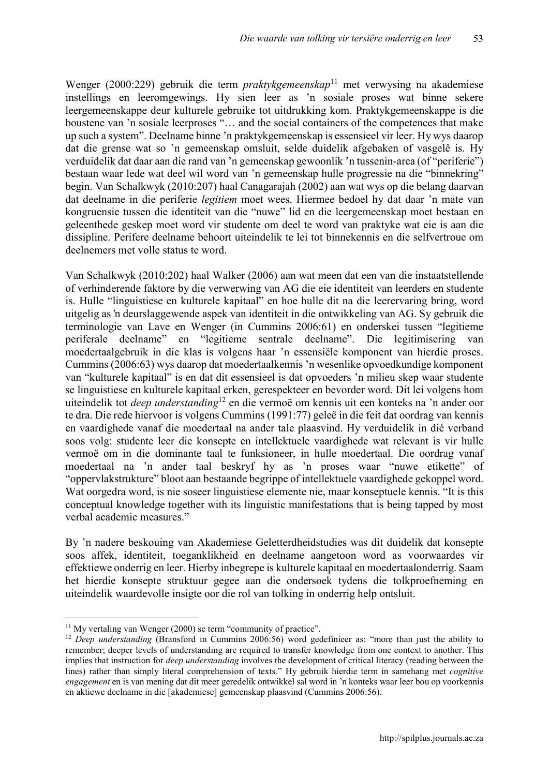Wenger (2000:229) gebruik die term *praktykgemeenskap*<sup>11</sup> met verwysing na akademiese instellings en leeromgewings. Hy sien leer as 'n sosiale proses wat binne sekere leergemeenskappe deur kulturele gebruike tot uitdrukking kom. Praktykgemeenskappe is die boustene van 'n sosiale leerproses "… and the social containers of the competences that make up such a system". Deelname binne 'n praktykgemeenskap is essensieel vir leer. Hy wys daarop dat die grense wat so 'n gemeenskap omsluit, selde duidelik afgebaken of vasgelê is. Hy verduidelik dat daar aan die rand van 'n gemeenskap gewoonlik 'n tussenin-area (of "periferie") bestaan waar lede wat deel wil word van 'n gemeenskap hulle progressie na die "binnekring" begin. Van Schalkwyk (2010:207) haal Canagarajah (2002) aan wat wys op die belang daarvan dat deelname in die periferie *legitiem* moet wees. Hiermee bedoel hy dat daar 'n mate van kongruensie tussen die identiteit van die "nuwe" lid en die leergemeenskap moet bestaan en geleenthede geskep moet word vir studente om deel te word van praktyke wat eie is aan die dissipline. Perifere deelname behoort uiteindelik te lei tot binnekennis en die selfvertroue om deelnemers met volle status te word.

Van Schalkwyk (2010:202) haal Walker (2006) aan wat meen dat een van die instaatstellende of verhinderende faktore by die verwerwing van AG die eie identiteit van leerders en studente is. Hulle "linguistiese en kulturele kapitaal" en hoe hulle dit na die leerervaring bring, word uitgelig as 'n deurslaggewende aspek van identiteit in die ontwikkeling van AG. Sy gebruik die terminologie van Lave en Wenger (in Cummins 2006:61) en onderskei tussen "legitieme periferale deelname" en "legitieme sentrale deelname". Die legitimisering van moedertaalgebruik in die klas is volgens haar 'n essensiële komponent van hierdie proses. Cummins (2006:63) wys daarop dat moedertaalkennis 'n wesenlike opvoedkundige komponent van "kulturele kapitaal" is en dat dit essensieel is dat opvoeders 'n milieu skep waar studente se linguistiese en kulturele kapitaal erken, gerespekteer en bevorder word. Dit lei volgens hom uiteindelik tot *deep understanding*<sup>12</sup> en die vermoë om kennis uit een konteks na 'n ander oor te dra. Die rede hiervoor is volgens Cummins (1991:77) geleë in die feit dat oordrag van kennis en vaardighede vanaf die moedertaal na ander tale plaasvind. Hy verduidelik in dié verband soos volg: studente leer die konsepte en intellektuele vaardighede wat relevant is vir hulle vermoë om in die dominante taal te funksioneer, in hulle moedertaal. Die oordrag vanaf moedertaal na 'n ander taal beskryf hy as 'n proses waar "nuwe etikette" of "oppervlakstrukture" bloot aan bestaande begrippe of intellektuele vaardighede gekoppel word. Wat oorgedra word, is nie soseer linguistiese elemente nie, maar konseptuele kennis. "It is this conceptual knowledge together with its linguistic manifestations that is being tapped by most verbal academic measures."

By 'n nadere beskouing van Akademiese Geletterdheidstudies was dit duidelik dat konsepte soos affek, identiteit, toeganklikheid en deelname aangetoon word as voorwaardes vir effektiewe onderrig en leer. Hierby inbegrepe is kulturele kapitaal en moedertaalonderrig. Saam het hierdie konsepte struktuur gegee aan die ondersoek tydens die tolkproefneming en uiteindelik waardevolle insigte oor die rol van tolking in onderrig help ontsluit.

 $11$  My vertaling van Wenger (2000) se term "community of practice".

<sup>&</sup>lt;sup>12</sup> *Deep understanding* (Bransford in Cummins 2006:56) word gedefinieer as: "more than just the ability to remember; deeper levels of understanding are required to transfer knowledge from one context to another. This implies that instruction for *deep understanding* involves the development of critical literacy (reading between the lines) rather than simply literal comprehension of texts." Hy gebruik hierdie term in samehang met *cognitive engagement* en is van mening dat dit meer geredelik ontwikkel sal word in 'n konteks waar leer bou op voorkennis en aktiewe deelname in die [akademiese] gemeenskap plaasvind (Cummins 2006:56).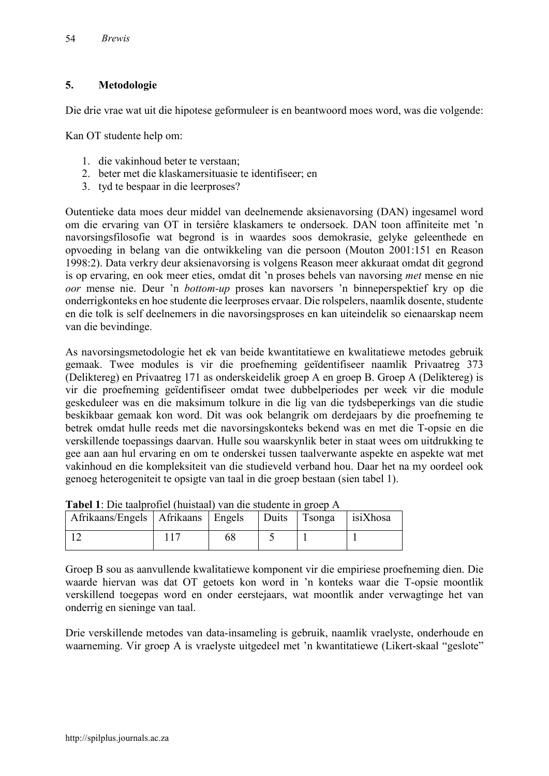# **5. Metodologie**

Die drie vrae wat uit die hipotese geformuleer is en beantwoord moes word, was die volgende:

Kan OT studente help om:

- 1. die vakinhoud beter te verstaan;
- 2. beter met die klaskamersituasie te identifiseer; en
- 3. tyd te bespaar in die leerproses?

Outentieke data moes deur middel van deelnemende aksienavorsing (DAN) ingesamel word om die ervaring van OT in tersiêre klaskamers te ondersoek. DAN toon affiniteite met 'n navorsingsfilosofie wat begrond is in waardes soos demokrasie, gelyke geleenthede en opvoeding in belang van die ontwikkeling van die persoon (Mouton 2001:151 en Reason 1998:2). Data verkry deur aksienavorsing is volgens Reason meer akkuraat omdat dit gegrond is op ervaring, en ook meer eties, omdat dit 'n proses behels van navorsing *met* mense en nie *oor* mense nie. Deur 'n *bottom-up* proses kan navorsers 'n binneperspektief kry op die onderrigkonteks en hoe studente die leerproses ervaar. Die rolspelers, naamlik dosente, studente en die tolk is self deelnemers in die navorsingsproses en kan uiteindelik so eienaarskap neem van die bevindinge.

As navorsingsmetodologie het ek van beide kwantitatiewe en kwalitatiewe metodes gebruik gemaak. Twee modules is vir die proefneming geïdentifiseer naamlik Privaatreg 373 (Deliktereg) en Privaatreg 171 as onderskeidelik groep A en groep B. Groep A (Deliktereg) is vir die proefneming geïdentifiseer omdat twee dubbelperiodes per week vir die module geskeduleer was en die maksimum tolkure in die lig van die tydsbeperkings van die studie beskikbaar gemaak kon word. Dit was ook belangrik om derdejaars by die proefneming te betrek omdat hulle reeds met die navorsingskonteks bekend was en met die T-opsie en die verskillende toepassings daarvan. Hulle sou waarskynlik beter in staat wees om uitdrukking te gee aan aan hul ervaring en om te onderskei tussen taalverwante aspekte en aspekte wat met vakinhoud en die kompleksiteit van die studieveld verband hou. Daar het na my oordeel ook genoeg heterogeniteit te opsigte van taal in die groep bestaan (sien tabel 1).

| THE PIC MAINTUILLE (THINK THE CITY ORGANISM IN LOOP TV |  |  |  |              |          |
|--------------------------------------------------------|--|--|--|--------------|----------|
| Afrikaans/Engels   Afrikaans   Engels                  |  |  |  | Duits Tsonga | isiXhosa |
|                                                        |  |  |  |              |          |

| Tabel 1: Die taalprofiel (huistaal) van die studente in groep A |  |  |
|-----------------------------------------------------------------|--|--|
|-----------------------------------------------------------------|--|--|

Groep B sou as aanvullende kwalitatiewe komponent vir die empiriese proefneming dien. Die waarde hiervan was dat OT getoets kon word in 'n konteks waar die T-opsie moontlik verskillend toegepas word en onder eerstejaars, wat moontlik ander verwagtinge het van onderrig en sieninge van taal.

Drie verskillende metodes van data-insameling is gebruik, naamlik vraelyste, onderhoude en waarneming. Vir groep A is vraelyste uitgedeel met 'n kwantitatiewe (Likert-skaal "geslote"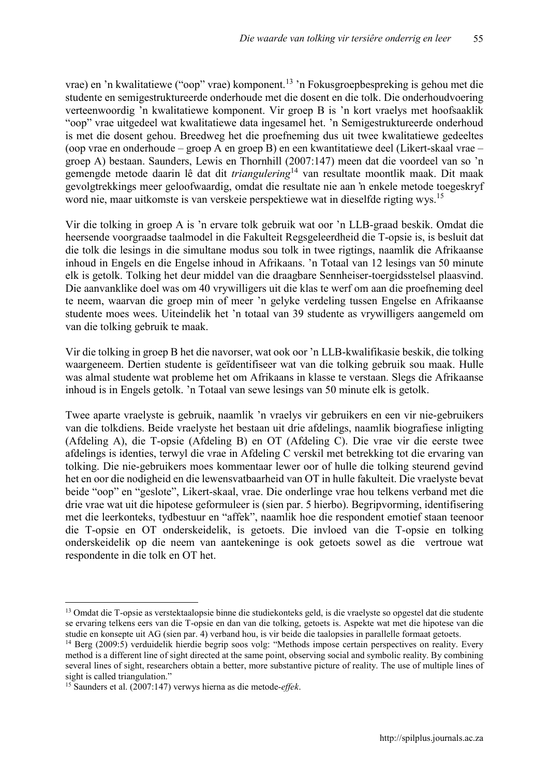vrae) en 'n kwalitatiewe ("oop" vrae) komponent.<sup>13</sup> 'n Fokusgroepbespreking is gehou met die studente en semigestruktureerde onderhoude met die dosent en die tolk. Die onderhoudvoering verteenwoordig 'n kwalitatiewe komponent. Vir groep B is 'n kort vraelys met hoofsaaklik "oop" vrae uitgedeel wat kwalitatiewe data ingesamel het. 'n Semigestruktureerde onderhoud is met die dosent gehou. Breedweg het die proefneming dus uit twee kwalitatiewe gedeeltes (oop vrae en onderhoude – groep A en groep B) en een kwantitatiewe deel (Likert-skaal vrae – groep A) bestaan. Saunders, Lewis en Thornhill (2007:147) meen dat die voordeel van so 'n gemengde metode daarin lê dat dit *triangulering*<sup>14</sup> van resultate moontlik maak. Dit maak gevolgtrekkings meer geloofwaardig, omdat die resultate nie aan 'n enkele metode toegeskryf word nie, maar uitkomste is van verskeie perspektiewe wat in dieselfde rigting wys. 15

Vir die tolking in groep A is 'n ervare tolk gebruik wat oor 'n LLB-graad beskik. Omdat die heersende voorgraadse taalmodel in die Fakulteit Regsgeleerdheid die T-opsie is, is besluit dat die tolk die lesings in die simultane modus sou tolk in twee rigtings, naamlik die Afrikaanse inhoud in Engels en die Engelse inhoud in Afrikaans. 'n Totaal van 12 lesings van 50 minute elk is getolk. Tolking het deur middel van die draagbare Sennheiser-toergidsstelsel plaasvind. Die aanvanklike doel was om 40 vrywilligers uit die klas te werf om aan die proefneming deel te neem, waarvan die groep min of meer 'n gelyke verdeling tussen Engelse en Afrikaanse studente moes wees. Uiteindelik het 'n totaal van 39 studente as vrywilligers aangemeld om van die tolking gebruik te maak.

Vir die tolking in groep B het die navorser, wat ook oor 'n LLB-kwalifikasie beskik, die tolking waargeneem. Dertien studente is geïdentifiseer wat van die tolking gebruik sou maak. Hulle was almal studente wat probleme het om Afrikaans in klasse te verstaan. Slegs die Afrikaanse inhoud is in Engels getolk. 'n Totaal van sewe lesings van 50 minute elk is getolk.

Twee aparte vraelyste is gebruik, naamlik 'n vraelys vir gebruikers en een vir nie-gebruikers van die tolkdiens. Beide vraelyste het bestaan uit drie afdelings, naamlik biografiese inligting (Afdeling A), die T-opsie (Afdeling B) en OT (Afdeling C). Die vrae vir die eerste twee afdelings is identies, terwyl die vrae in Afdeling C verskil met betrekking tot die ervaring van tolking. Die nie-gebruikers moes kommentaar lewer oor of hulle die tolking steurend gevind het en oor die nodigheid en die lewensvatbaarheid van OT in hulle fakulteit. Die vraelyste bevat beide "oop" en "geslote", Likert-skaal, vrae. Die onderlinge vrae hou telkens verband met die drie vrae wat uit die hipotese geformuleer is (sien par. 5 hierbo). Begripvorming, identifisering met die leerkonteks, tydbestuur en "affek", naamlik hoe die respondent emotief staan teenoor die T-opsie en OT onderskeidelik, is getoets. Die invloed van die T-opsie en tolking onderskeidelik op die neem van aantekeninge is ook getoets sowel as die vertroue wat respondente in die tolk en OT het.

<sup>&</sup>lt;sup>13</sup> Omdat die T-opsie as verstektaalopsie binne die studiekonteks geld, is die vraelyste so opgestel dat die studente se ervaring telkens eers van die T-opsie en dan van die tolking, getoets is. Aspekte wat met die hipotese van die studie en konsepte uit AG (sien par. 4) verband hou, is vir beide die taalopsies in parallelle formaat getoets.

<sup>14</sup> Berg (2009:5) verduidelik hierdie begrip soos volg: "Methods impose certain perspectives on reality. Every method is a different line of sight directed at the same point, observing social and symbolic reality. By combining several lines of sight, researchers obtain a better, more substantive picture of reality. The use of multiple lines of sight is called triangulation."

<sup>15</sup> Saunders et al. (2007:147) verwys hierna as die metode-*effek*.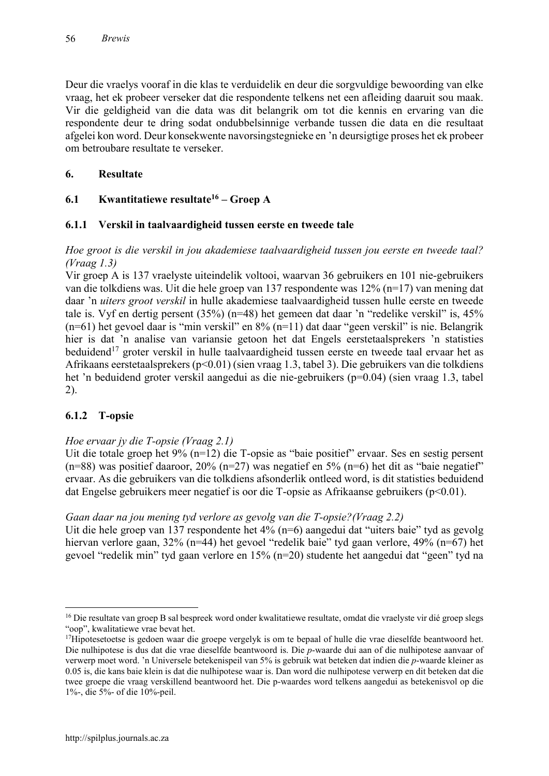Deur die vraelys vooraf in die klas te verduidelik en deur die sorgvuldige bewoording van elke vraag, het ek probeer verseker dat die respondente telkens net een afleiding daaruit sou maak. Vir die geldigheid van die data was dit belangrik om tot die kennis en ervaring van die respondente deur te dring sodat ondubbelsinnige verbande tussen die data en die resultaat afgelei kon word. Deur konsekwente navorsingstegnieke en 'n deursigtige proses het ek probeer om betroubare resultate te verseker.

# **6. Resultate**

# **6.1 Kwantitatiewe resultate16 – Groep A**

# **6.1.1 Verskil in taalvaardigheid tussen eerste en tweede tale**

### *Hoe groot is die verskil in jou akademiese taalvaardigheid tussen jou eerste en tweede taal? (Vraag 1.3)*

Vir groep A is 137 vraelyste uiteindelik voltooi, waarvan 36 gebruikers en 101 nie-gebruikers van die tolkdiens was. Uit die hele groep van 137 respondente was 12% (n=17) van mening dat daar 'n *uiters groot verskil* in hulle akademiese taalvaardigheid tussen hulle eerste en tweede tale is. Vyf en dertig persent (35%) (n=48) het gemeen dat daar 'n "redelike verskil" is, 45% (n=61) het gevoel daar is "min verskil" en 8% (n=11) dat daar "geen verskil" is nie. Belangrik hier is dat 'n analise van variansie getoon het dat Engels eerstetaalsprekers 'n statisties beduidend<sup>17</sup> groter verskil in hulle taalvaardigheid tussen eerste en tweede taal ervaar het as Afrikaans eerstetaalsprekers (p<0.01) (sien vraag 1.3, tabel 3). Die gebruikers van die tolkdiens het 'n beduidend groter verskil aangedui as die nie-gebruikers (p=0.04) (sien vraag 1.3, tabel 2).

# **6.1.2 T-opsie**

# *Hoe ervaar jy die T-opsie (Vraag 2.1)*

Uit die totale groep het 9% (n=12) die T-opsie as "baie positief" ervaar. Ses en sestig persent  $(n=88)$  was positief daaroor, 20%  $(n=27)$  was negatief en 5%  $(n=6)$  het dit as "baie negatief" ervaar. As die gebruikers van die tolkdiens afsonderlik ontleed word, is dit statisties beduidend dat Engelse gebruikers meer negatief is oor die T-opsie as Afrikaanse gebruikers (p<0.01).

#### *Gaan daar na jou mening tyd verlore as gevolg van die T-opsie?(Vraag 2.2)*

Uit die hele groep van 137 respondente het 4% (n=6) aangedui dat "uiters baie" tyd as gevolg hiervan verlore gaan, 32% (n=44) het gevoel "redelik baie" tyd gaan verlore, 49% (n=67) het gevoel "redelik min" tyd gaan verlore en 15% (n=20) studente het aangedui dat "geen" tyd na

<sup>&</sup>lt;sup>16</sup> Die resultate van groep B sal bespreek word onder kwalitatiewe resultate, omdat die vraelyste vir dié groep slegs "oop", kwalitatiewe vrae bevat het.

<sup>&</sup>lt;sup>17</sup>Hipotesetoetse is gedoen waar die groepe vergelyk is om te bepaal of hulle die vrae dieselfde beantwoord het. Die nulhipotese is dus dat die vrae dieselfde beantwoord is. Die *p*-waarde dui aan of die nulhipotese aanvaar of verwerp moet word. 'n Universele betekenispeil van 5% is gebruik wat beteken dat indien die *p*-waarde kleiner as 0.05 is, die kans baie klein is dat die nulhipotese waar is. Dan word die nulhipotese verwerp en dit beteken dat die twee groepe die vraag verskillend beantwoord het. Die p-waardes word telkens aangedui as betekenisvol op die 1%-, die 5%- of die 10%-peil.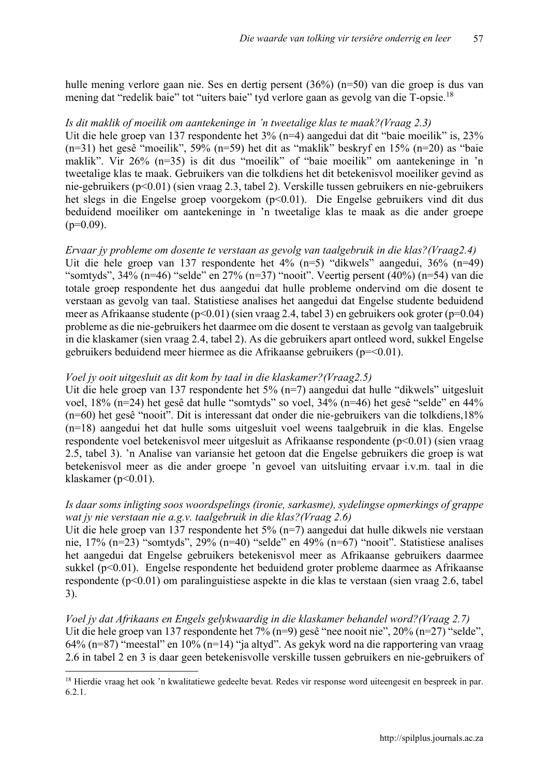hulle mening verlore gaan nie. Ses en dertig persent (36%) (n=50) van die groep is dus van mening dat "redelik baie" tot "uiters baie" tyd verlore gaan as gevolg van die T-opsie.<sup>18</sup>

#### *Is dit maklik of moeilik om aantekeninge in 'n tweetalige klas te maak?(Vraag 2.3)*

Uit die hele groep van 137 respondente het 3% (n=4) aangedui dat dit "baie moeilik" is, 23% (n=31) het gesê "moeilik", 59% (n=59) het dit as "maklik" beskryf en 15% (n=20) as "baie maklik". Vir 26% (n=35) is dit dus "moeilik" of "baie moeilik" om aantekeninge in 'n tweetalige klas te maak. Gebruikers van die tolkdiens het dit betekenisvol moeiliker gevind as nie-gebruikers (p<0.01) (sien vraag 2.3, tabel 2). Verskille tussen gebruikers en nie-gebruikers het slegs in die Engelse groep voorgekom (p<0.01). Die Engelse gebruikers vind dit dus beduidend moeiliker om aantekeninge in 'n tweetalige klas te maak as die ander groepe  $(p=0.09)$ .

# *Ervaar jy probleme om dosente te verstaan as gevolg van taalgebruik in die klas?(Vraag2.4)*

Uit die hele groep van 137 respondente het 4% (n=5) "dikwels" aangedui, 36% (n=49) "somtyds", 34% (n=46) "selde" en 27% (n=37) "nooit". Veertig persent (40%) (n=54) van die totale groep respondente het dus aangedui dat hulle probleme ondervind om die dosent te verstaan as gevolg van taal. Statistiese analises het aangedui dat Engelse studente beduidend meer as Afrikaanse studente (p<0.01) (sien vraag 2.4, tabel 3) en gebruikers ook groter (p=0.04) probleme as die nie-gebruikers het daarmee om die dosent te verstaan as gevolg van taalgebruik in die klaskamer (sien vraag 2.4, tabel 2). As die gebruikers apart ontleed word, sukkel Engelse gebruikers beduidend meer hiermee as die Afrikaanse gebruikers (p=<0.01).

#### *Voel jy ooit uitgesluit as dit kom by taal in die klaskamer?(Vraag2.5)*

Uit die hele groep van 137 respondente het 5% (n=7) aangedui dat hulle "dikwels" uitgesluit voel, 18% (n=24) het gesê dat hulle "somtyds" so voel, 34% (n=46) het gesê "selde" en 44% (n=60) het gesê "nooit". Dit is interessant dat onder die nie-gebruikers van die tolkdiens,18% (n=18) aangedui het dat hulle soms uitgesluit voel weens taalgebruik in die klas. Engelse respondente voel betekenisvol meer uitgesluit as Afrikaanse respondente (p<0.01) (sien vraag 2.5, tabel 3). 'n Analise van variansie het getoon dat die Engelse gebruikers die groep is wat betekenisvol meer as die ander groepe 'n gevoel van uitsluiting ervaar i.v.m. taal in die klaskamer ( $p<0.01$ ).

#### *Is daar soms inligting soos woordspelings (ironie, sarkasme), sydelingse opmerkings of grappe wat jy nie verstaan nie a.g.v. taalgebruik in die klas?(Vraag 2.6)*

Uit die hele groep van 137 respondente het 5% (n=7) aangedui dat hulle dikwels nie verstaan nie, 17% (n=23) "somtyds", 29% (n=40) "selde" en 49% (n=67) "nooit". Statistiese analises het aangedui dat Engelse gebruikers betekenisvol meer as Afrikaanse gebruikers daarmee sukkel (p<0.01). Engelse respondente het beduidend groter probleme daarmee as Afrikaanse respondente (p<0.01) om paralinguistiese aspekte in die klas te verstaan (sien vraag 2.6, tabel 3).

*Voel jy dat Afrikaans en Engels gelykwaardig in die klaskamer behandel word?(Vraag 2.7)* Uit die hele groep van 137 respondente het 7% (n=9) gesê "nee nooit nie", 20% (n=27) "selde", 64% (n=87) "meestal" en 10% (n=14) "ja altyd". As gekyk word na die rapportering van vraag 2.6 in tabel 2 en 3 is daar geen betekenisvolle verskille tussen gebruikers en nie-gebruikers of

<sup>&</sup>lt;sup>18</sup> Hierdie vraag het ook 'n kwalitatiewe gedeelte bevat. Redes vir response word uiteengesit en bespreek in par. 6.2.1.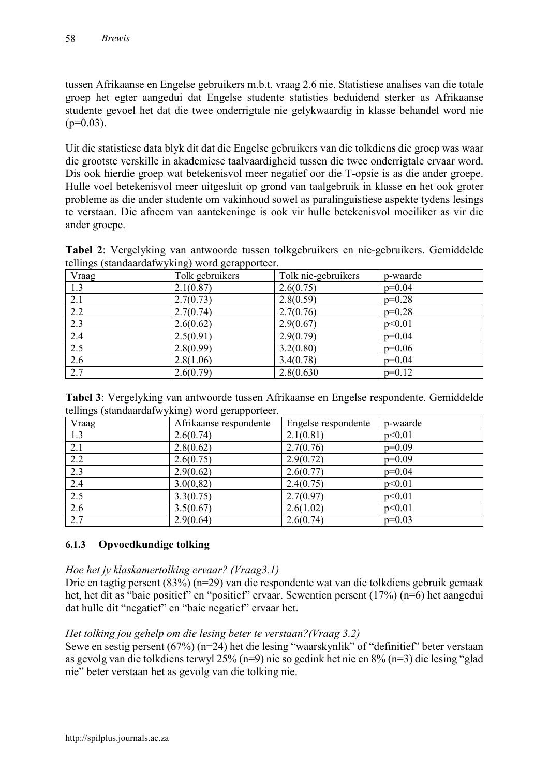tussen Afrikaanse en Engelse gebruikers m.b.t. vraag 2.6 nie. Statistiese analises van die totale groep het egter aangedui dat Engelse studente statisties beduidend sterker as Afrikaanse studente gevoel het dat die twee onderrigtale nie gelykwaardig in klasse behandel word nie  $(p=0.03)$ .

Uit die statistiese data blyk dit dat die Engelse gebruikers van die tolkdiens die groep was waar die grootste verskille in akademiese taalvaardigheid tussen die twee onderrigtale ervaar word. Dis ook hierdie groep wat betekenisvol meer negatief oor die T-opsie is as die ander groepe. Hulle voel betekenisvol meer uitgesluit op grond van taalgebruik in klasse en het ook groter probleme as die ander studente om vakinhoud sowel as paralinguistiese aspekte tydens lesings te verstaan. Die afneem van aantekeninge is ook vir hulle betekenisvol moeiliker as vir die ander groepe.

**Tabel 2**: Vergelyking van antwoorde tussen tolkgebruikers en nie-gebruikers. Gemiddelde tellings (standaardafwyking) word gerapporteer.

| $\mathcal{L}$ $\mathcal{L}$ $\mathcal{L}$ $\mathcal{L}$ $\mathcal{L}$ $\mathcal{L}$ $\mathcal{L}$ $\mathcal{L}$ $\mathcal{L}$ $\mathcal{L}$ $\mathcal{L}$ $\mathcal{L}$ $\mathcal{L}$ $\mathcal{L}$ $\mathcal{L}$ $\mathcal{L}$ $\mathcal{L}$ $\mathcal{L}$ $\mathcal{L}$ $\mathcal{L}$ $\mathcal{L}$ $\mathcal{L}$ $\mathcal{L}$ $\mathcal{L}$ $\mathcal{$<br>Vraag | $\omega$ , and $\omega$ are the set of $\omega$<br>Tolk gebruikers | Tolk nie-gebruikers | p-waarde |
|----------------------------------------------------------------------------------------------------------------------------------------------------------------------------------------------------------------------------------------------------------------------------------------------------------------------------------------------------------------------|--------------------------------------------------------------------|---------------------|----------|
| 1.3                                                                                                                                                                                                                                                                                                                                                                  | 2.1(0.87)                                                          | 2.6(0.75)           | $p=0.04$ |
| 2.1                                                                                                                                                                                                                                                                                                                                                                  | 2.7(0.73)                                                          | 2.8(0.59)           | $p=0.28$ |
| 2.2                                                                                                                                                                                                                                                                                                                                                                  | 2.7(0.74)                                                          | 2.7(0.76)           | $p=0.28$ |
| 2.3                                                                                                                                                                                                                                                                                                                                                                  | 2.6(0.62)                                                          | 2.9(0.67)           | p<0.01   |
| $\overline{2.4}$                                                                                                                                                                                                                                                                                                                                                     | 2.5(0.91)                                                          | 2.9(0.79)           | $p=0.04$ |
| 2.5                                                                                                                                                                                                                                                                                                                                                                  | 2.8(0.99)                                                          | 3.2(0.80)           | $p=0.06$ |
| 2.6                                                                                                                                                                                                                                                                                                                                                                  | 2.8(1.06)                                                          | 3.4(0.78)           | $p=0.04$ |
| 2.7                                                                                                                                                                                                                                                                                                                                                                  | 2.6(0.79)                                                          | 2.8(0.630           | $p=0.12$ |

| Tabel 3: Vergelyking van antwoorde tussen Afrikaanse en Engelse respondente. Gemiddelde |  |  |
|-----------------------------------------------------------------------------------------|--|--|
| tellings (standaardafwyking) word gerapporteer.                                         |  |  |

| $\sim$ $\sim$<br>Vraag | ັ<br><u> UII</u><br>Afrikaanse respondente | Engelse respondente | p-waarde |
|------------------------|--------------------------------------------|---------------------|----------|
| 1.3                    | 2.6(0.74)                                  | 2.1(0.81)           | p<0.01   |
| 2.1                    | 2.8(0.62)                                  | 2.7(0.76)           | $p=0.09$ |
| 2.2                    | 2.6(0.75)                                  | 2.9(0.72)           | $p=0.09$ |
| 2.3                    | 2.9(0.62)                                  | 2.6(0.77)           | $p=0.04$ |
| $\overline{2.4}$       | 3.0(0,82)                                  | 2.4(0.75)           | p<0.01   |
| 2.5                    | 3.3(0.75)                                  | 2.7(0.97)           | p<0.01   |
| $\overline{2.6}$       | 3.5(0.67)                                  | 2.6(1.02)           | p<0.01   |
| 2.7                    | 2.9(0.64)                                  | 2.6(0.74)           | $p=0.03$ |

# **6.1.3 Opvoedkundige tolking**

#### *Hoe het jy klaskamertolking ervaar? (Vraag3.1)*

Drie en tagtig persent (83%) (n=29) van die respondente wat van die tolkdiens gebruik gemaak het, het dit as "baie positief" en "positief" ervaar. Sewentien persent (17%) (n=6) het aangedui dat hulle dit "negatief" en "baie negatief" ervaar het.

# *Het tolking jou gehelp om die lesing beter te verstaan?(Vraag 3.2)*

Sewe en sestig persent (67%) (n=24) het die lesing "waarskynlik" of "definitief" beter verstaan as gevolg van die tolkdiens terwyl 25% (n=9) nie so gedink het nie en 8% (n=3) die lesing "glad nie" beter verstaan het as gevolg van die tolking nie.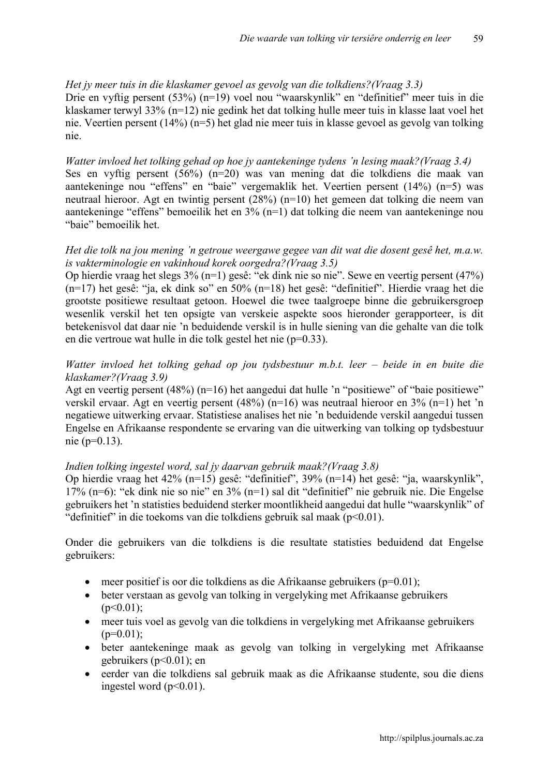#### *Het jy meer tuis in die klaskamer gevoel as gevolg van die tolkdiens?(Vraag 3.3)*

Drie en vyftig persent (53%) (n=19) voel nou "waarskynlik" en "definitief" meer tuis in die klaskamer terwyl 33% (n=12) nie gedink het dat tolking hulle meer tuis in klasse laat voel het nie. Veertien persent (14%) (n=5) het glad nie meer tuis in klasse gevoel as gevolg van tolking nie.

### *Watter invloed het tolking gehad op hoe jy aantekeninge tydens 'n lesing maak?(Vraag 3.4)* Ses en vyftig persent (56%) (n=20) was van mening dat die tolkdiens die maak van aantekeninge nou "effens" en "baie" vergemaklik het. Veertien persent (14%) (n=5) was neutraal hieroor. Agt en twintig persent (28%) (n=10) het gemeen dat tolking die neem van aantekeninge "effens" bemoeilik het en 3% (n=1) dat tolking die neem van aantekeninge nou "baie" bemoeilik het.

#### *Het die tolk na jou mening 'n getroue weergawe gegee van dit wat die dosent gesê het, m.a.w. is vakterminologie en vakinhoud korek oorgedra?(Vraag 3.5)*

Op hierdie vraag het slegs 3% (n=1) gesê: "ek dink nie so nie". Sewe en veertig persent (47%) (n=17) het gesê: "ja, ek dink so" en 50% (n=18) het gesê: "definitief". Hierdie vraag het die grootste positiewe resultaat getoon. Hoewel die twee taalgroepe binne die gebruikersgroep wesenlik verskil het ten opsigte van verskeie aspekte soos hieronder gerapporteer, is dit betekenisvol dat daar nie 'n beduidende verskil is in hulle siening van die gehalte van die tolk en die vertroue wat hulle in die tolk gestel het nie (p=0.33).

### *Watter invloed het tolking gehad op jou tydsbestuur m.b.t. leer – beide in en buite die klaskamer?(Vraag 3.9)*

Agt en veertig persent (48%) (n=16) het aangedui dat hulle 'n "positiewe" of "baie positiewe" verskil ervaar. Agt en veertig persent (48%) (n=16) was neutraal hieroor en 3% (n=1) het 'n negatiewe uitwerking ervaar. Statistiese analises het nie 'n beduidende verskil aangedui tussen Engelse en Afrikaanse respondente se ervaring van die uitwerking van tolking op tydsbestuur nie (p=0.13).

#### *Indien tolking ingestel word, sal jy daarvan gebruik maak?(Vraag 3.8)*

Op hierdie vraag het 42% (n=15) gesê: "definitief", 39% (n=14) het gesê: "ja, waarskynlik", 17% (n=6): "ek dink nie so nie" en 3% (n=1) sal dit "definitief" nie gebruik nie. Die Engelse gebruikers het 'n statisties beduidend sterker moontlikheid aangedui dat hulle "waarskynlik" of "definitief" in die toekoms van die tolkdiens gebruik sal maak (p<0.01).

Onder die gebruikers van die tolkdiens is die resultate statisties beduidend dat Engelse gebruikers:

- $\bullet$  meer positief is oor die tolkdiens as die Afrikaanse gebruikers (p=0.01);
- beter verstaan as gevolg van tolking in vergelyking met Afrikaanse gebruikers  $(p<0.01)$ ;
- meer tuis voel as gevolg van die tolkdiens in vergelyking met Afrikaanse gebruikers  $(p=0.01)$ ;
- beter aantekeninge maak as gevolg van tolking in vergelyking met Afrikaanse gebruikers (p<0.01); en
- eerder van die tolkdiens sal gebruik maak as die Afrikaanse studente, sou die diens ingestel word  $(p<0.01)$ .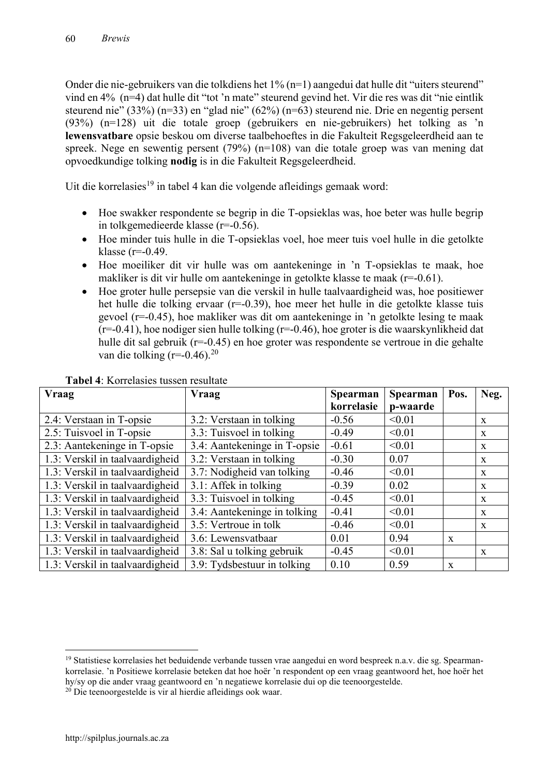Onder die nie-gebruikers van die tolkdiens het 1% (n=1) aangedui dat hulle dit "uiters steurend" vind en 4% (n=4) dat hulle dit "tot 'n mate" steurend gevind het. Vir die res was dit "nie eintlik steurend nie" (33%) (n=33) en "glad nie" (62%) (n=63) steurend nie. Drie en negentig persent (93%) (n=128) uit die totale groep (gebruikers en nie-gebruikers) het tolking as 'n **lewensvatbare** opsie beskou om diverse taalbehoeftes in die Fakulteit Regsgeleerdheid aan te spreek. Nege en sewentig persent (79%) (n=108) van die totale groep was van mening dat opvoedkundige tolking **nodig** is in die Fakulteit Regsgeleerdheid.

Uit die korrelasies<sup>19</sup> in tabel 4 kan die volgende afleidings gemaak word:

- Hoe swakker respondente se begrip in die T-opsieklas was, hoe beter was hulle begrip in tolkgemedieerde klasse (r=-0.56).
- Hoe minder tuis hulle in die T-opsieklas voel, hoe meer tuis voel hulle in die getolkte klasse ( $r=0.49$ .
- Hoe moeiliker dit vir hulle was om aantekeninge in 'n T-opsieklas te maak, hoe makliker is dit vir hulle om aantekeninge in getolkte klasse te maak (r=-0.61).
- Hoe groter hulle persepsie van die verskil in hulle taalvaardigheid was, hoe positiewer het hulle die tolking ervaar (r=-0.39), hoe meer het hulle in die getolkte klasse tuis gevoel (r=-0.45), hoe makliker was dit om aantekeninge in 'n getolkte lesing te maak (r=-0.41), hoe nodiger sien hulle tolking (r=-0.46), hoe groter is die waarskynlikheid dat hulle dit sal gebruik (r=-0.45) en hoe groter was respondente se vertroue in die gehalte van die tolking (r=-0.46).<sup>20</sup>

| <b>Vraag</b>                    | <b>Vraag</b>                 | <b>Spearman</b> | Spearman | Pos.         | Neg.         |
|---------------------------------|------------------------------|-----------------|----------|--------------|--------------|
|                                 |                              | korrelasie      | p-waarde |              |              |
| 2.4: Verstaan in T-opsie        | 3.2: Verstaan in tolking     | $-0.56$         | < 0.01   |              | X            |
| 2.5: Tuisvoel in T-opsie        | 3.3: Tuisvoel in tolking     | $-0.49$         | < 0.01   |              | X            |
| 2.3: Aantekeninge in T-opsie    | 3.4: Aantekeninge in T-opsie | $-0.61$         | < 0.01   |              | X            |
| 1.3: Verskil in taalvaardigheid | 3.2: Verstaan in tolking     | $-0.30$         | 0.07     |              | X            |
| 1.3: Verskil in taalvaardigheid | 3.7: Nodigheid van tolking   | $-0.46$         | < 0.01   |              | X            |
| 1.3: Verskil in taalvaardigheid | 3.1: Affek in tolking        | $-0.39$         | 0.02     |              | $\mathbf{x}$ |
| 1.3: Verskil in taalvaardigheid | 3.3: Tuisvoel in tolking     | $-0.45$         | < 0.01   |              | X            |
| 1.3: Verskil in taalvaardigheid | 3.4: Aantekeninge in tolking | $-0.41$         | < 0.01   |              | X            |
| 1.3: Verskil in taalvaardigheid | 3.5: Vertroue in tolk        | $-0.46$         | < 0.01   |              | $\mathbf{x}$ |
| 1.3: Verskil in taalvaardigheid | 3.6: Lewensvatbaar           | 0.01            | 0.94     | $\mathbf{x}$ |              |
| 1.3: Verskil in taalvaardigheid | 3.8: Sal u tolking gebruik   | $-0.45$         | < 0.01   |              | $\mathbf{x}$ |
| 1.3: Verskil in taalvaardigheid | 3.9: Tydsbestuur in tolking  | 0.10            | 0.59     | $\mathbf{x}$ |              |

#### **Tabel 4**: Korrelasies tussen resultate

<sup>&</sup>lt;sup>19</sup> Statistiese korrelasies het beduidende verbande tussen vrae aangedui en word bespreek n.a.v. die sg. Spearmankorrelasie. 'n Positiewe korrelasie beteken dat hoe hoër 'n respondent op een vraag geantwoord het, hoe hoër het hy/sy op die ander vraag geantwoord en 'n negatiewe korrelasie dui op die teenoorgestelde.

 $20$  Die teenoorgestelde is vir al hierdie afleidings ook waar.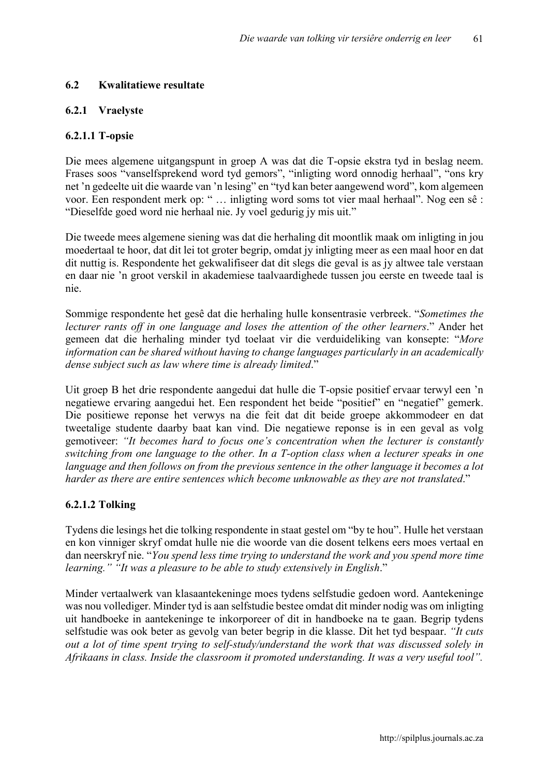#### **6.2 Kwalitatiewe resultate**

#### **6.2.1 Vraelyste**

#### **6.2.1.1 T-opsie**

Die mees algemene uitgangspunt in groep A was dat die T-opsie ekstra tyd in beslag neem. Frases soos "vanselfsprekend word tyd gemors", "inligting word onnodig herhaal", "ons kry net 'n gedeelte uit die waarde van 'n lesing" en "tyd kan beter aangewend word", kom algemeen voor. Een respondent merk op: " … inligting word soms tot vier maal herhaal". Nog een sê : "Dieselfde goed word nie herhaal nie. Jy voel gedurig jy mis uit."

Die tweede mees algemene siening was dat die herhaling dit moontlik maak om inligting in jou moedertaal te hoor, dat dit lei tot groter begrip, omdat jy inligting meer as een maal hoor en dat dit nuttig is. Respondente het gekwalifiseer dat dit slegs die geval is as jy altwee tale verstaan en daar nie 'n groot verskil in akademiese taalvaardighede tussen jou eerste en tweede taal is nie.

Sommige respondente het gesê dat die herhaling hulle konsentrasie verbreek. "*Sometimes the lecturer rants off in one language and loses the attention of the other learners*." Ander het gemeen dat die herhaling minder tyd toelaat vir die verduideliking van konsepte: "*More information can be shared without having to change languages particularly in an academically dense subject such as law where time is already limited*."

Uit groep B het drie respondente aangedui dat hulle die T-opsie positief ervaar terwyl een 'n negatiewe ervaring aangedui het. Een respondent het beide "positief" en "negatief" gemerk. Die positiewe reponse het verwys na die feit dat dit beide groepe akkommodeer en dat tweetalige studente daarby baat kan vind. Die negatiewe reponse is in een geval as volg gemotiveer: *"It becomes hard to focus one's concentration when the lecturer is constantly switching from one language to the other. In a T-option class when a lecturer speaks in one language and then follows on from the previous sentence in the other language it becomes a lot harder as there are entire sentences which become unknowable as they are not translated*."

#### **6.2.1.2 Tolking**

Tydens die lesings het die tolking respondente in staat gestel om "by te hou". Hulle het verstaan en kon vinniger skryf omdat hulle nie die woorde van die dosent telkens eers moes vertaal en dan neerskryf nie. "*You spend less time trying to understand the work and you spend more time learning." "It was a pleasure to be able to study extensively in English*."

Minder vertaalwerk van klasaantekeninge moes tydens selfstudie gedoen word. Aantekeninge was nou vollediger. Minder tyd is aan selfstudie bestee omdat dit minder nodig was om inligting uit handboeke in aantekeninge te inkorporeer of dit in handboeke na te gaan. Begrip tydens selfstudie was ook beter as gevolg van beter begrip in die klasse. Dit het tyd bespaar. *"It cuts out a lot of time spent trying to self-study/understand the work that was discussed solely in Afrikaans in class. Inside the classroom it promoted understanding. It was a very useful tool".*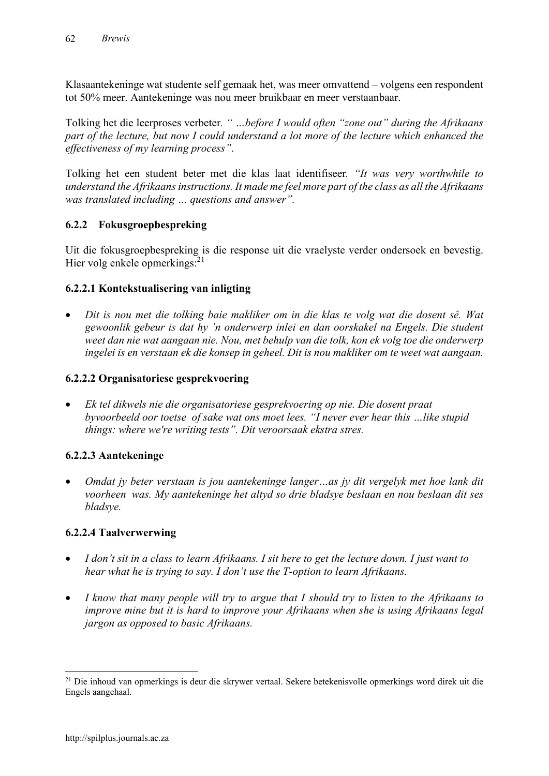Klasaantekeninge wat studente self gemaak het, was meer omvattend – volgens een respondent tot 50% meer. Aantekeninge was nou meer bruikbaar en meer verstaanbaar.

Tolking het die leerproses verbeter*. " …before I would often "zone out" during the Afrikaans part of the lecture, but now I could understand a lot more of the lecture which enhanced the effectiveness of my learning process"*.

Tolking het een student beter met die klas laat identifiseer*. "It was very worthwhile to understand the Afrikaans instructions. It made me feel more part of the class as all the Afrikaans was translated including … questions and answer".*

# **6.2.2 Fokusgroepbespreking**

Uit die fokusgroepbespreking is die response uit die vraelyste verder ondersoek en bevestig. Hier volg enkele opmerkings:<sup>21</sup>

# **6.2.2.1 Kontekstualisering van inligting**

 *Dit is nou met die tolking baie makliker om in die klas te volg wat die dosent sê. Wat gewoonlik gebeur is dat hy 'n onderwerp inlei en dan oorskakel na Engels. Die student weet dan nie wat aangaan nie. Nou, met behulp van die tolk, kon ek volg toe die onderwerp ingelei is en verstaan ek die konsep in geheel. Dit is nou makliker om te weet wat aangaan.*

# **6.2.2.2 Organisatoriese gesprekvoering**

 *Ek tel dikwels nie die organisatoriese gesprekvoering op nie. Die dosent praat byvoorbeeld oor toetse of sake wat ons moet lees. "I never ever hear this …like stupid things: where we're writing tests". Dit veroorsaak ekstra stres.* 

# **6.2.2.3 Aantekeninge**

 *Omdat jy beter verstaan is jou aantekeninge langer…as jy dit vergelyk met hoe lank dit voorheen was. My aantekeninge het altyd so drie bladsye beslaan en nou beslaan dit ses bladsye.*

# **6.2.2.4 Taalverwerwing**

- *I don't sit in a class to learn Afrikaans. I sit here to get the lecture down. I just want to hear what he is trying to say. I don't use the T-option to learn Afrikaans.*
- *I know that many people will try to argue that I should try to listen to the Afrikaans to improve mine but it is hard to improve your Afrikaans when she is using Afrikaans legal jargon as opposed to basic Afrikaans.*

<sup>&</sup>lt;sup>21</sup> Die inhoud van opmerkings is deur die skrywer vertaal. Sekere betekenisvolle opmerkings word direk uit die Engels aangehaal.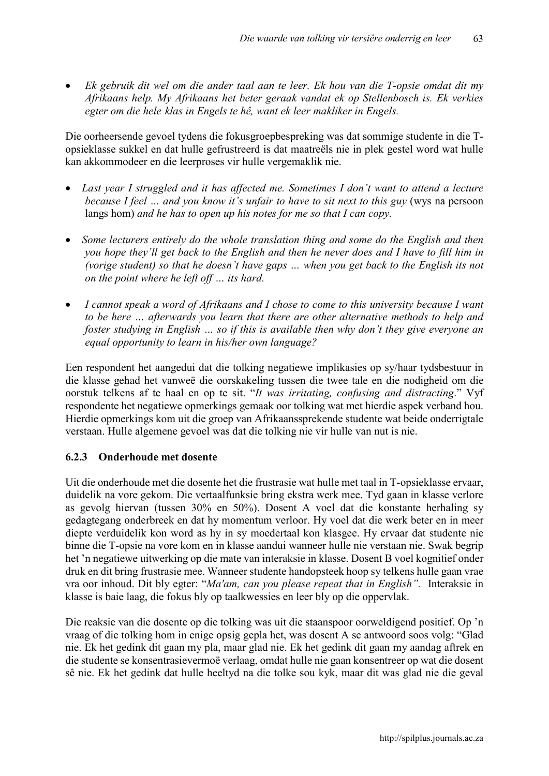*Ek gebruik dit wel om die ander taal aan te leer. Ek hou van die T-opsie omdat dit my Afrikaans help. My Afrikaans het beter geraak vandat ek op Stellenbosch is. Ek verkies egter om die hele klas in Engels te hê, want ek leer makliker in Engels.* 

Die oorheersende gevoel tydens die fokusgroepbespreking was dat sommige studente in die Topsieklasse sukkel en dat hulle gefrustreerd is dat maatreëls nie in plek gestel word wat hulle kan akkommodeer en die leerproses vir hulle vergemaklik nie.

- *Last year I struggled and it has affected me. Sometimes I don't want to attend a lecture because I feel ... and you know it's unfair to have to sit next to this guy (wys na persoon* langs hom) *and he has to open up his notes for me so that I can copy.*
- *Some lecturers entirely do the whole translation thing and some do the English and then you hope they'll get back to the English and then he never does and I have to fill him in (vorige student) so that he doesn't have gaps … when you get back to the English its not on the point where he left off … its hard.*
- *I cannot speak a word of Afrikaans and I chose to come to this university because I want to be here … afterwards you learn that there are other alternative methods to help and foster studying in English … so if this is available then why don't they give everyone an equal opportunity to learn in his/her own language?*

Een respondent het aangedui dat die tolking negatiewe implikasies op sy/haar tydsbestuur in die klasse gehad het vanweë die oorskakeling tussen die twee tale en die nodigheid om die oorstuk telkens af te haal en op te sit. "*It was irritating, confusing and distracting*." Vyf respondente het negatiewe opmerkings gemaak oor tolking wat met hierdie aspek verband hou. Hierdie opmerkings kom uit die groep van Afrikaanssprekende studente wat beide onderrigtale verstaan. Hulle algemene gevoel was dat die tolking nie vir hulle van nut is nie.

# **6.2.3 Onderhoude met dosente**

Uit die onderhoude met die dosente het die frustrasie wat hulle met taal in T-opsieklasse ervaar, duidelik na vore gekom. Die vertaalfunksie bring ekstra werk mee. Tyd gaan in klasse verlore as gevolg hiervan (tussen 30% en 50%). Dosent A voel dat die konstante herhaling sy gedagtegang onderbreek en dat hy momentum verloor. Hy voel dat die werk beter en in meer diepte verduidelik kon word as hy in sy moedertaal kon klasgee. Hy ervaar dat studente nie binne die T-opsie na vore kom en in klasse aandui wanneer hulle nie verstaan nie. Swak begrip het 'n negatiewe uitwerking op die mate van interaksie in klasse. Dosent B voel kognitief onder druk en dit bring frustrasie mee. Wanneer studente handopsteek hoop sy telkens hulle gaan vrae vra oor inhoud. Dit bly egter: "*Ma'am, can you please repeat that in English".* Interaksie in klasse is baie laag, die fokus bly op taalkwessies en leer bly op die oppervlak.

Die reaksie van die dosente op die tolking was uit die staanspoor oorweldigend positief. Op 'n vraag of die tolking hom in enige opsig gepla het, was dosent A se antwoord soos volg: "Glad nie. Ek het gedink dit gaan my pla, maar glad nie. Ek het gedink dit gaan my aandag aftrek en die studente se konsentrasievermoë verlaag, omdat hulle nie gaan konsentreer op wat die dosent sê nie. Ek het gedink dat hulle heeltyd na die tolke sou kyk, maar dit was glad nie die geval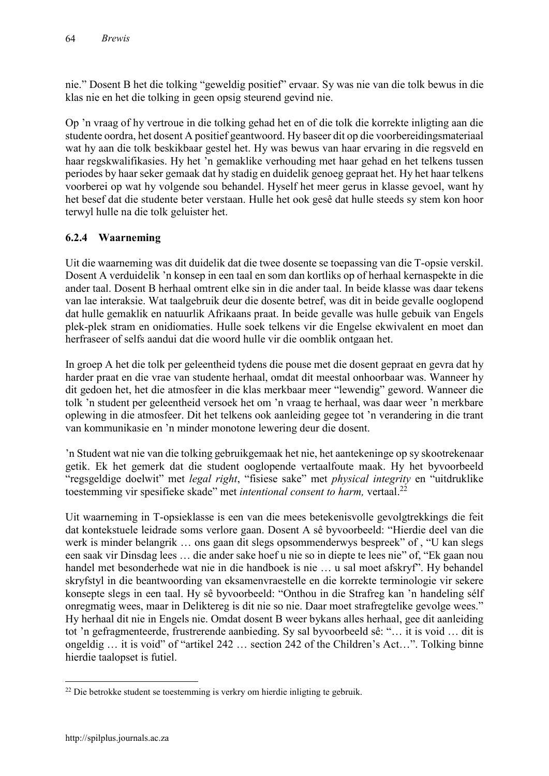nie." Dosent B het die tolking "geweldig positief" ervaar. Sy was nie van die tolk bewus in die klas nie en het die tolking in geen opsig steurend gevind nie.

Op 'n vraag of hy vertroue in die tolking gehad het en of die tolk die korrekte inligting aan die studente oordra, het dosent A positief geantwoord. Hy baseer dit op die voorbereidingsmateriaal wat hy aan die tolk beskikbaar gestel het. Hy was bewus van haar ervaring in die regsveld en haar regskwalifikasies. Hy het 'n gemaklike verhouding met haar gehad en het telkens tussen periodes by haar seker gemaak dat hy stadig en duidelik genoeg gepraat het. Hy het haar telkens voorberei op wat hy volgende sou behandel. Hyself het meer gerus in klasse gevoel, want hy het besef dat die studente beter verstaan. Hulle het ook gesê dat hulle steeds sy stem kon hoor terwyl hulle na die tolk geluister het.

# **6.2.4 Waarneming**

Uit die waarneming was dit duidelik dat die twee dosente se toepassing van die T-opsie verskil. Dosent A verduidelik 'n konsep in een taal en som dan kortliks op of herhaal kernaspekte in die ander taal. Dosent B herhaal omtrent elke sin in die ander taal. In beide klasse was daar tekens van lae interaksie. Wat taalgebruik deur die dosente betref, was dit in beide gevalle ooglopend dat hulle gemaklik en natuurlik Afrikaans praat. In beide gevalle was hulle gebuik van Engels plek-plek stram en onidiomaties. Hulle soek telkens vir die Engelse ekwivalent en moet dan herfraseer of selfs aandui dat die woord hulle vir die oomblik ontgaan het.

In groep A het die tolk per geleentheid tydens die pouse met die dosent gepraat en gevra dat hy harder praat en die vrae van studente herhaal, omdat dit meestal onhoorbaar was. Wanneer hy dit gedoen het, het die atmosfeer in die klas merkbaar meer "lewendig" geword. Wanneer die tolk 'n student per geleentheid versoek het om 'n vraag te herhaal, was daar weer 'n merkbare oplewing in die atmosfeer. Dit het telkens ook aanleiding gegee tot 'n verandering in die trant van kommunikasie en 'n minder monotone lewering deur die dosent.

'n Student wat nie van die tolking gebruikgemaak het nie, het aantekeninge op sy skootrekenaar getik. Ek het gemerk dat die student ooglopende vertaalfoute maak. Hy het byvoorbeeld "regsgeldige doelwit" met *legal right*, "fisiese sake" met *physical integrity* en "uitdruklike toestemming vir spesifieke skade" met *intentional consent to harm,* vertaal. 22

Uit waarneming in T-opsieklasse is een van die mees betekenisvolle gevolgtrekkings die feit dat kontekstuele leidrade soms verlore gaan. Dosent A sê byvoorbeeld: "Hierdie deel van die werk is minder belangrik … ons gaan dit slegs opsommenderwys bespreek" of , "U kan slegs een saak vir Dinsdag lees … die ander sake hoef u nie so in diepte te lees nie" of, "Ek gaan nou handel met besonderhede wat nie in die handboek is nie … u sal moet afskryf". Hy behandel skryfstyl in die beantwoording van eksamenvraestelle en die korrekte terminologie vir sekere konsepte slegs in een taal. Hy sê byvoorbeeld: "Onthou in die Strafreg kan 'n handeling sélf onregmatig wees, maar in Deliktereg is dit nie so nie. Daar moet strafregtelike gevolge wees." Hy herhaal dit nie in Engels nie. Omdat dosent B weer bykans alles herhaal, gee dit aanleiding tot 'n gefragmenteerde, frustrerende aanbieding. Sy sal byvoorbeeld sê: "… it is void … dit is ongeldig … it is void" of "artikel 242 … section 242 of the Children's Act…". Tolking binne hierdie taalopset is futiel.

 <sup>22</sup> Die betrokke student se toestemming is verkry om hierdie inligting te gebruik.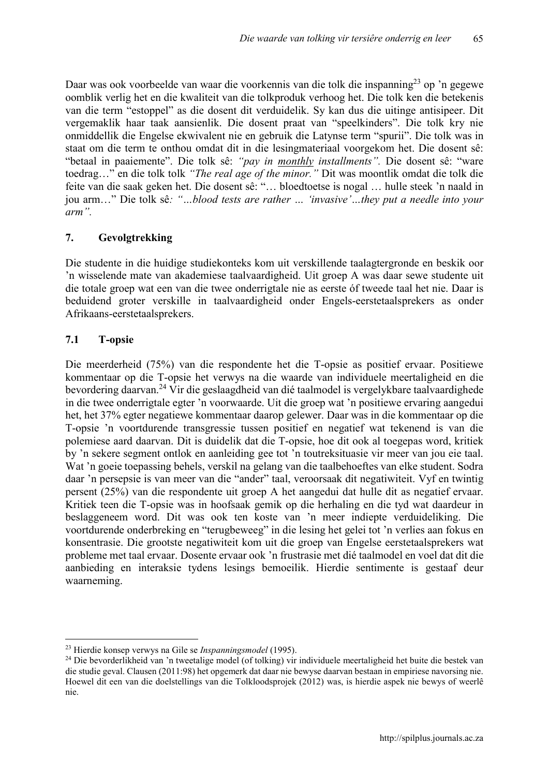Daar was ook voorbeelde van waar die voorkennis van die tolk die inspanning<sup>23</sup> op 'n gegewe oomblik verlig het en die kwaliteit van die tolkproduk verhoog het. Die tolk ken die betekenis van die term "estoppel" as die dosent dit verduidelik. Sy kan dus die uitinge antisipeer. Dit vergemaklik haar taak aansienlik. Die dosent praat van "speelkinders". Die tolk kry nie onmiddellik die Engelse ekwivalent nie en gebruik die Latynse term "spurii". Die tolk was in staat om die term te onthou omdat dit in die lesingmateriaal voorgekom het. Die dosent sê: "betaal in paaiemente". Die tolk sê: *"pay in monthly installments".* Die dosent sê: "ware toedrag…" en die tolk tolk *"The real age of the minor."* Dit was moontlik omdat die tolk die feite van die saak geken het. Die dosent sê: "… bloedtoetse is nogal … hulle steek 'n naald in jou arm…" Die tolk sê*: "…blood tests are rather … 'invasive'…they put a needle into your arm".*

# **7. Gevolgtrekking**

Die studente in die huidige studiekonteks kom uit verskillende taalagtergronde en beskik oor 'n wisselende mate van akademiese taalvaardigheid. Uit groep A was daar sewe studente uit die totale groep wat een van die twee onderrigtale nie as eerste óf tweede taal het nie. Daar is beduidend groter verskille in taalvaardigheid onder Engels-eerstetaalsprekers as onder Afrikaans-eerstetaalsprekers.

# **7.1 T-opsie**

Die meerderheid (75%) van die respondente het die T-opsie as positief ervaar. Positiewe kommentaar op die T-opsie het verwys na die waarde van individuele meertaligheid en die bevordering daarvan.<sup>24</sup> Vir die geslaagdheid van dié taalmodel is vergelykbare taalvaardighede in die twee onderrigtale egter 'n voorwaarde. Uit die groep wat 'n positiewe ervaring aangedui het, het 37% egter negatiewe kommentaar daarop gelewer. Daar was in die kommentaar op die T-opsie 'n voortdurende transgressie tussen positief en negatief wat tekenend is van die polemiese aard daarvan. Dit is duidelik dat die T-opsie, hoe dit ook al toegepas word, kritiek by 'n sekere segment ontlok en aanleiding gee tot 'n toutreksituasie vir meer van jou eie taal. Wat 'n goeie toepassing behels, verskil na gelang van die taalbehoeftes van elke student. Sodra daar 'n persepsie is van meer van die "ander" taal, veroorsaak dit negatiwiteit. Vyf en twintig persent (25%) van die respondente uit groep A het aangedui dat hulle dit as negatief ervaar. Kritiek teen die T-opsie was in hoofsaak gemik op die herhaling en die tyd wat daardeur in beslaggeneem word. Dit was ook ten koste van 'n meer indiepte verduideliking. Die voortdurende onderbreking en "terugbeweeg" in die lesing het gelei tot 'n verlies aan fokus en konsentrasie. Die grootste negatiwiteit kom uit die groep van Engelse eerstetaalsprekers wat probleme met taal ervaar. Dosente ervaar ook 'n frustrasie met dié taalmodel en voel dat dit die aanbieding en interaksie tydens lesings bemoeilik. Hierdie sentimente is gestaaf deur waarneming.

<sup>&</sup>lt;sup>23</sup> Hierdie konsep verwys na Gile se *Inspanningsmodel* (1995).<br><sup>24</sup> Die bevorderlikheid van 'n tweetalige model (of tolking) vir individuele meertaligheid het buite die bestek van die studie geval. Clausen (2011:98) het opgemerk dat daar nie bewyse daarvan bestaan in empiriese navorsing nie. Hoewel dit een van die doelstellings van die Tolkloodsprojek (2012) was, is hierdie aspek nie bewys of weerlê nie.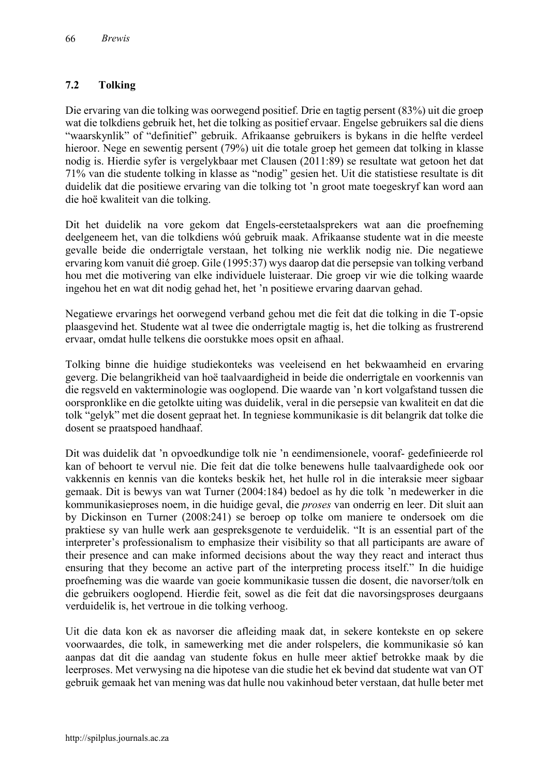# **7.2 Tolking**

Die ervaring van die tolking was oorwegend positief. Drie en tagtig persent (83%) uit die groep wat die tolkdiens gebruik het, het die tolking as positief ervaar. Engelse gebruikers sal die diens "waarskynlik" of "definitief" gebruik. Afrikaanse gebruikers is bykans in die helfte verdeel hieroor. Nege en sewentig persent (79%) uit die totale groep het gemeen dat tolking in klasse nodig is. Hierdie syfer is vergelykbaar met Clausen (2011:89) se resultate wat getoon het dat 71% van die studente tolking in klasse as "nodig" gesien het. Uit die statistiese resultate is dit duidelik dat die positiewe ervaring van die tolking tot 'n groot mate toegeskryf kan word aan die hoë kwaliteit van die tolking.

Dit het duidelik na vore gekom dat Engels-eerstetaalsprekers wat aan die proefneming deelgeneem het, van die tolkdiens wóú gebruik maak. Afrikaanse studente wat in die meeste gevalle beide die onderrigtale verstaan, het tolking nie werklik nodig nie. Die negatiewe ervaring kom vanuit dié groep. Gile (1995:37) wys daarop dat die persepsie van tolking verband hou met die motivering van elke individuele luisteraar. Die groep vir wie die tolking waarde ingehou het en wat dit nodig gehad het, het 'n positiewe ervaring daarvan gehad.

Negatiewe ervarings het oorwegend verband gehou met die feit dat die tolking in die T-opsie plaasgevind het. Studente wat al twee die onderrigtale magtig is, het die tolking as frustrerend ervaar, omdat hulle telkens die oorstukke moes opsit en afhaal.

Tolking binne die huidige studiekonteks was veeleisend en het bekwaamheid en ervaring geverg. Die belangrikheid van hoë taalvaardigheid in beide die onderrigtale en voorkennis van die regsveld en vakterminologie was ooglopend. Die waarde van 'n kort volgafstand tussen die oorspronklike en die getolkte uiting was duidelik, veral in die persepsie van kwaliteit en dat die tolk "gelyk" met die dosent gepraat het. In tegniese kommunikasie is dit belangrik dat tolke die dosent se praatspoed handhaaf.

Dit was duidelik dat 'n opvoedkundige tolk nie 'n eendimensionele, vooraf- gedefinieerde rol kan of behoort te vervul nie. Die feit dat die tolke benewens hulle taalvaardighede ook oor vakkennis en kennis van die konteks beskik het, het hulle rol in die interaksie meer sigbaar gemaak. Dit is bewys van wat Turner (2004:184) bedoel as hy die tolk 'n medewerker in die kommunikasieproses noem, in die huidige geval, die *proses* van onderrig en leer. Dit sluit aan by Dickinson en Turner (2008:241) se beroep op tolke om maniere te ondersoek om die praktiese sy van hulle werk aan gespreksgenote te verduidelik. "It is an essential part of the interpreter's professionalism to emphasize their visibility so that all participants are aware of their presence and can make informed decisions about the way they react and interact thus ensuring that they become an active part of the interpreting process itself." In die huidige proefneming was die waarde van goeie kommunikasie tussen die dosent, die navorser/tolk en die gebruikers ooglopend. Hierdie feit, sowel as die feit dat die navorsingsproses deurgaans verduidelik is, het vertroue in die tolking verhoog.

Uit die data kon ek as navorser die afleiding maak dat, in sekere kontekste en op sekere voorwaardes, die tolk, in samewerking met die ander rolspelers, die kommunikasie só kan aanpas dat dit die aandag van studente fokus en hulle meer aktief betrokke maak by die leerproses. Met verwysing na die hipotese van die studie het ek bevind dat studente wat van OT gebruik gemaak het van mening was dat hulle nou vakinhoud beter verstaan, dat hulle beter met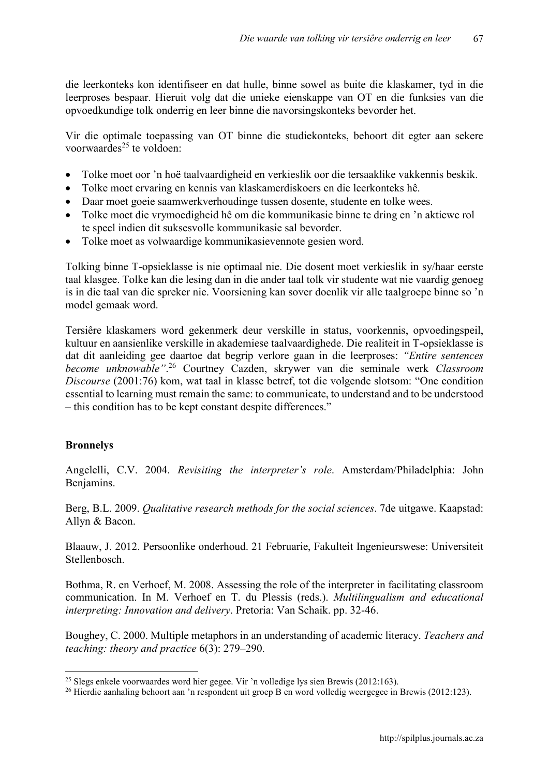die leerkonteks kon identifiseer en dat hulle, binne sowel as buite die klaskamer, tyd in die leerproses bespaar. Hieruit volg dat die unieke eienskappe van OT en die funksies van die opvoedkundige tolk onderrig en leer binne die navorsingskonteks bevorder het.

Vir die optimale toepassing van OT binne die studiekonteks, behoort dit egter aan sekere voorwaardes<sup>25</sup> te voldoen:

- Tolke moet oor 'n hoë taalvaardigheid en verkieslik oor die tersaaklike vakkennis beskik.
- Tolke moet ervaring en kennis van klaskamerdiskoers en die leerkonteks hê.
- Daar moet goeie saamwerkverhoudinge tussen dosente, studente en tolke wees.
- Tolke moet die vrymoedigheid hê om die kommunikasie binne te dring en 'n aktiewe rol te speel indien dit suksesvolle kommunikasie sal bevorder.
- Tolke moet as volwaardige kommunikasievennote gesien word.

Tolking binne T-opsieklasse is nie optimaal nie. Die dosent moet verkieslik in sy/haar eerste taal klasgee. Tolke kan die lesing dan in die ander taal tolk vir studente wat nie vaardig genoeg is in die taal van die spreker nie. Voorsiening kan sover doenlik vir alle taalgroepe binne so 'n model gemaak word.

Tersiêre klaskamers word gekenmerk deur verskille in status, voorkennis, opvoedingspeil, kultuur en aansienlike verskille in akademiese taalvaardighede. Die realiteit in T-opsieklasse is dat dit aanleiding gee daartoe dat begrip verlore gaan in die leerproses: *"Entire sentences become unknowable"*. <sup>26</sup> Courtney Cazden, skrywer van die seminale werk *Classroom Discourse* (2001:76) kom, wat taal in klasse betref, tot die volgende slotsom: "One condition essential to learning must remain the same: to communicate, to understand and to be understood – this condition has to be kept constant despite differences."

# **Bronnelys**

Angelelli, C.V. 2004. *Revisiting the interpreter's role*. Amsterdam/Philadelphia: John Benjamins.

Berg, B.L. 2009. *Qualitative research methods for the social sciences*. 7de uitgawe. Kaapstad: Allyn & Bacon.

Blaauw, J. 2012. Persoonlike onderhoud. 21 Februarie, Fakulteit Ingenieurswese: Universiteit Stellenbosch.

Bothma, R. en Verhoef, M. 2008. Assessing the role of the interpreter in facilitating classroom communication. In M. Verhoef en T. du Plessis (reds.). *Multilingualism and educational interpreting: Innovation and delivery*. Pretoria: Van Schaik. pp. 32-46.

Boughey, C. 2000. Multiple metaphors in an understanding of academic literacy. *Teachers and teaching: theory and practice* 6(3): 279–290.

 <sup>25</sup> Slegs enkele voorwaardes word hier gegee. Vir 'n volledige lys sien Brewis (2012:163).

<sup>&</sup>lt;sup>26</sup> Hierdie aanhaling behoort aan 'n respondent uit groep B en word volledig weergegee in Brewis (2012:123).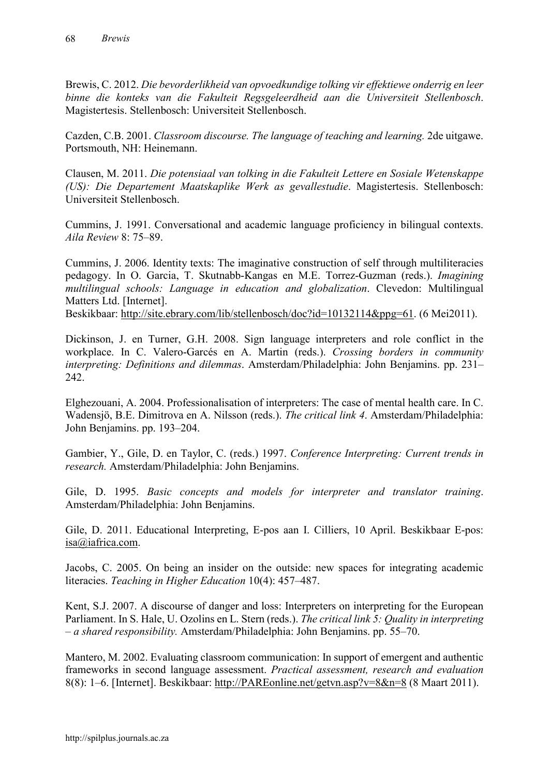Brewis, C. 2012. *Die bevorderlikheid van opvoedkundige tolking vir effektiewe onderrig en leer binne die konteks van die Fakulteit Regsgeleerdheid aan die Universiteit Stellenbosch*. Magistertesis. Stellenbosch: Universiteit Stellenbosch.

Cazden, C.B. 2001. *Classroom discourse. The language of teaching and learning.* 2de uitgawe. Portsmouth, NH: Heinemann.

Clausen, M. 2011. *Die potensiaal van tolking in die Fakulteit Lettere en Sosiale Wetenskappe (US): Die Departement Maatskaplike Werk as gevallestudie*. Magistertesis. Stellenbosch: Universiteit Stellenbosch.

Cummins, J. 1991. Conversational and academic language proficiency in bilingual contexts. *Aila Review* 8: 75–89.

Cummins, J. 2006. Identity texts: The imaginative construction of self through multiliteracies pedagogy. In O. Garcia, T. Skutnabb-Kangas en M.E. Torrez-Guzman (reds.). *Imagining multilingual schools: Language in education and globalization*. Clevedon: Multilingual Matters Ltd. [Internet].

Beskikbaar: [http://site.ebrary.com/lib/stellenbosch/doc?id=10132114&ppg=61. \(6 Mei](http://site.ebrary.com/lib/stellenbosch/doc?id=10132114&ppg=61)2011).

Dickinson, J. en Turner, G.H. 2008. Sign language interpreters and role conflict in the workplace. In C. Valero-Garcés en A. Martin (reds.). *Crossing borders in community interpreting: Definitions and dilemmas*. Amsterdam/Philadelphia: John Benjamins. pp. 231– 242.

Elghezouani, A. 2004. Professionalisation of interpreters: The case of mental health care. In C. Wadensjö, B.E. Dimitrova en A. Nilsson (reds.). *The critical link 4*. Amsterdam/Philadelphia: John Benjamins. pp. 193–204.

Gambier, Y., Gile, D. en Taylor, C. (reds.) 1997. *Conference Interpreting: Current trends in research.* Amsterdam/Philadelphia: John Benjamins.

Gile, D. 1995. *Basic concepts and models for interpreter and translator training*. Amsterdam/Philadelphia: John Benjamins.

Gile, D. 2011. Educational Interpreting, E-pos aan I. Cilliers, 10 April. Beskikbaar E-pos: [isa@iafrica.com.](mailto:isa@iafrica.com)

Jacobs, C. 2005. On being an insider on the outside: new spaces for integrating academic literacies. *Teaching in Higher Education* 10(4): 457–487.

Kent, S.J. 2007. A discourse of danger and loss: Interpreters on interpreting for the European Parliament. In S. Hale, U. Ozolins en L. Stern (reds.). *The critical link 5: Quality in interpreting – a shared responsibility.* Amsterdam/Philadelphia: John Benjamins. pp. 55–70.

Mantero, M. 2002. Evaluating classroom communication: In support of emergent and authentic frameworks in second language assessment. *Practical assessment, research and evaluation* 8(8): 1–6. [Internet]. Beskikbaar: [http://PAREonline.net/getvn.asp?v=8&n=8](http://pareonline.net/getvn.asp?v=8&n=8) (8 Maart 2011).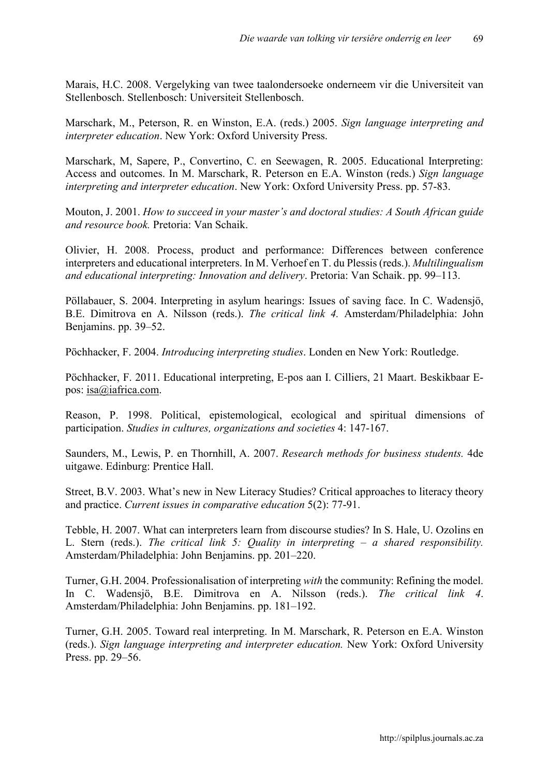Marais, H.C. 2008. Vergelyking van twee taalondersoeke onderneem vir die Universiteit van Stellenbosch. Stellenbosch: Universiteit Stellenbosch.

Marschark, M., Peterson, R. en Winston, E.A. (reds.) 2005. *Sign language interpreting and interpreter education*. New York: Oxford University Press.

Marschark, M, Sapere, P., Convertino, C. en Seewagen, R. 2005. Educational Interpreting: Access and outcomes. In M. Marschark, R. Peterson en E.A. Winston (reds.) *Sign language interpreting and interpreter education*. New York: Oxford University Press. pp. 57-83.

Mouton, J. 2001. *How to succeed in your master's and doctoral studies: A South African guide and resource book.* Pretoria: Van Schaik.

Olivier, H. 2008. Process, product and performance: Differences between conference interpreters and educational interpreters. In M. Verhoef en T. du Plessis (reds.). *Multilingualism and educational interpreting: Innovation and delivery*. Pretoria: Van Schaik. pp. 99–113.

Pöllabauer, S. 2004. Interpreting in asylum hearings: Issues of saving face. In C. Wadensjö, B.E. Dimitrova en A. Nilsson (reds.). *The critical link 4.* Amsterdam/Philadelphia: John Benjamins. pp. 39–52.

Pöchhacker, F. 2004. *Introducing interpreting studies*. Londen en New York: Routledge.

Pöchhacker, F. 2011. Educational interpreting, E-pos aan I. Cilliers, 21 Maart. Beskikbaar Epos: [isa@iafrica.com.](mailto:isa@iafrica.com)

Reason, P. 1998. Political, epistemological, ecological and spiritual dimensions of participation. *Studies in cultures, organizations and societies* 4: 147-167.

Saunders, M., Lewis, P. en Thornhill, A. 2007. *Research methods for business students.* 4de uitgawe. Edinburg: Prentice Hall.

Street, B.V. 2003. What's new in New Literacy Studies? Critical approaches to literacy theory and practice. *Current issues in comparative education* 5(2): 77-91.

Tebble, H. 2007. What can interpreters learn from discourse studies? In S. Hale, U. Ozolins en L. Stern (reds.). *The critical link 5: Quality in interpreting – a shared responsibility.* Amsterdam/Philadelphia: John Benjamins. pp. 201–220.

Turner, G.H. 2004. Professionalisation of interpreting *with* the community: Refining the model. In C. Wadensjö, B.E. Dimitrova en A. Nilsson (reds.). *The critical link 4*. Amsterdam/Philadelphia: John Benjamins. pp. 181–192.

Turner, G.H. 2005. Toward real interpreting. In M. Marschark, R. Peterson en E.A. Winston (reds.). *Sign language interpreting and interpreter education.* New York: Oxford University Press. pp. 29–56.